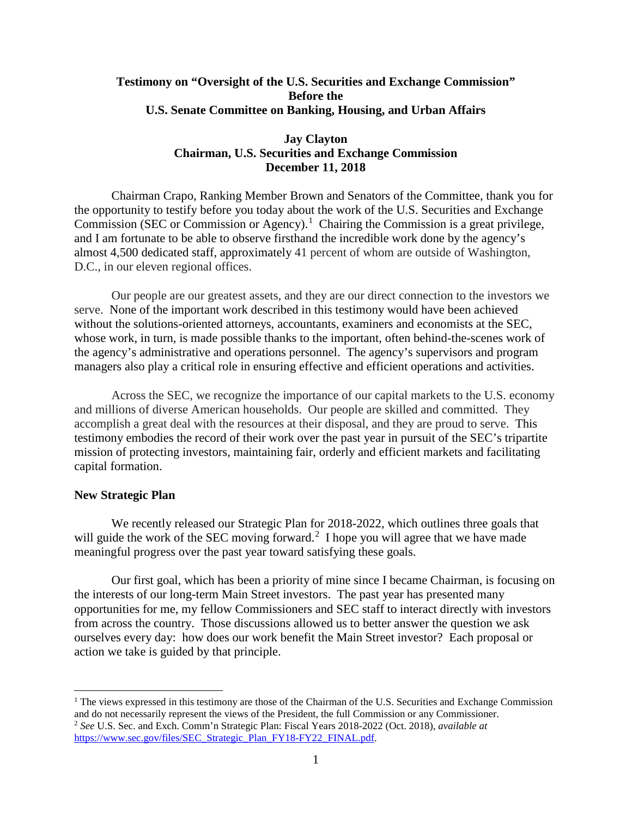# **Testimony on "Oversight of the U.S. Securities and Exchange Commission" Before the U.S. Senate Committee on Banking, Housing, and Urban Affairs**

# **Jay Clayton Chairman, U.S. Securities and Exchange Commission December 11, 2018**

Chairman Crapo, Ranking Member Brown and Senators of the Committee, thank you for the opportunity to testify before you today about the work of the U.S. Securities and Exchange Commission (SEC or Commission or Agency).<sup>[1](#page-0-0)</sup> Chairing the Commission is a great privilege, and I am fortunate to be able to observe firsthand the incredible work done by the agency's almost 4,500 dedicated staff, approximately 41 percent of whom are outside of Washington, D.C., in our eleven regional offices.

Our people are our greatest assets, and they are our direct connection to the investors we serve. None of the important work described in this testimony would have been achieved without the solutions-oriented attorneys, accountants, examiners and economists at the SEC, whose work, in turn, is made possible thanks to the important, often behind-the-scenes work of the agency's administrative and operations personnel. The agency's supervisors and program managers also play a critical role in ensuring effective and efficient operations and activities.

Across the SEC, we recognize the importance of our capital markets to the U.S. economy and millions of diverse American households. Our people are skilled and committed. They accomplish a great deal with the resources at their disposal, and they are proud to serve. This testimony embodies the record of their work over the past year in pursuit of the SEC's tripartite mission of protecting investors, maintaining fair, orderly and efficient markets and facilitating capital formation.

#### **New Strategic Plan**

l

We recently released our Strategic Plan for 2018-2022, which outlines three goals that will guide the work of the SEC moving forward.<sup>[2](#page-0-1)</sup> I hope you will agree that we have made meaningful progress over the past year toward satisfying these goals.

Our first goal, which has been a priority of mine since I became Chairman, is focusing on the interests of our long-term Main Street investors. The past year has presented many opportunities for me, my fellow Commissioners and SEC staff to interact directly with investors from across the country. Those discussions allowed us to better answer the question we ask ourselves every day: how does our work benefit the Main Street investor? Each proposal or action we take is guided by that principle.

<span id="page-0-1"></span><span id="page-0-0"></span> $<sup>1</sup>$  The views expressed in this testimony are those of the Chairman of the U.S. Securities and Exchange Commission</sup> and do not necessarily represent the views of the President, the full Commission or any Commissioner. <sup>2</sup> *See* U.S. Sec. and Exch. Comm'n Strategic Plan: Fiscal Years 2018-2022 (Oct. 2018), *available at* [https://www.sec.gov/files/SEC\\_Strategic\\_Plan\\_FY18-FY22\\_FINAL.pdf.](https://www.sec.gov/files/SEC_Strategic_Plan_FY18-FY22_FINAL.pdf)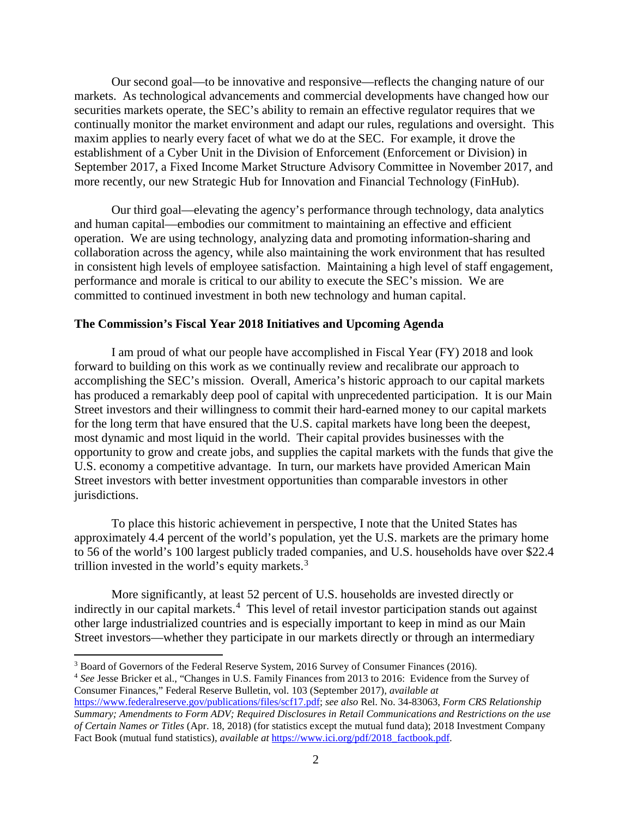Our second goal—to be innovative and responsive—reflects the changing nature of our markets. As technological advancements and commercial developments have changed how our securities markets operate, the SEC's ability to remain an effective regulator requires that we continually monitor the market environment and adapt our rules, regulations and oversight. This maxim applies to nearly every facet of what we do at the SEC. For example, it drove the establishment of a Cyber Unit in the Division of Enforcement (Enforcement or Division) in September 2017, a Fixed Income Market Structure Advisory Committee in November 2017, and more recently, our new Strategic Hub for Innovation and Financial Technology (FinHub).

Our third goal—elevating the agency's performance through technology, data analytics and human capital—embodies our commitment to maintaining an effective and efficient operation. We are using technology, analyzing data and promoting information-sharing and collaboration across the agency, while also maintaining the work environment that has resulted in consistent high levels of employee satisfaction. Maintaining a high level of staff engagement, performance and morale is critical to our ability to execute the SEC's mission. We are committed to continued investment in both new technology and human capital.

## **The Commission's Fiscal Year 2018 Initiatives and Upcoming Agenda**

I am proud of what our people have accomplished in Fiscal Year (FY) 2018 and look forward to building on this work as we continually review and recalibrate our approach to accomplishing the SEC's mission. Overall, America's historic approach to our capital markets has produced a remarkably deep pool of capital with unprecedented participation. It is our Main Street investors and their willingness to commit their hard-earned money to our capital markets for the long term that have ensured that the U.S. capital markets have long been the deepest, most dynamic and most liquid in the world. Their capital provides businesses with the opportunity to grow and create jobs, and supplies the capital markets with the funds that give the U.S. economy a competitive advantage. In turn, our markets have provided American Main Street investors with better investment opportunities than comparable investors in other jurisdictions.

To place this historic achievement in perspective, I note that the United States has approximately 4.4 percent of the world's population, yet the U.S. markets are the primary home to 56 of the world's 100 largest publicly traded companies, and U.S. households have over \$22.4 trillion invested in the world's equity markets.<sup>[3](#page-1-0)</sup>

More significantly, at least 52 percent of U.S. households are invested directly or indirectly in our capital markets.<sup>[4](#page-1-1)</sup> This level of retail investor participation stands out against other large industrialized countries and is especially important to keep in mind as our Main Street investors—whether they participate in our markets directly or through an intermediary

l

<span id="page-1-1"></span><sup>4</sup> *See* Jesse Bricker et al., "Changes in U.S. Family Finances from 2013 to 2016: Evidence from the Survey of Consumer Finances," Federal Reserve Bulletin, vol. 103 (September 2017), *available at* 

<span id="page-1-0"></span><sup>&</sup>lt;sup>3</sup> Board of Governors of the Federal Reserve System, 2016 Survey of Consumer Finances (2016).

[https://www.federalreserve.gov/publications/files/scf17.pdf;](https://www.federalreserve.gov/publications/files/scf17.pdf) *see also* Rel. No. 34-83063, *Form CRS Relationship Summary; Amendments to Form ADV; Required Disclosures in Retail Communications and Restrictions on the use of Certain Names or Titles* (Apr. 18, 2018) (for statistics except the mutual fund data); 2018 Investment Company Fact Book (mutual fund statistics), *available at* [https://www.ici.org/pdf/2018\\_factbook.pdf.](https://www.ici.org/pdf/2018_factbook.pdf)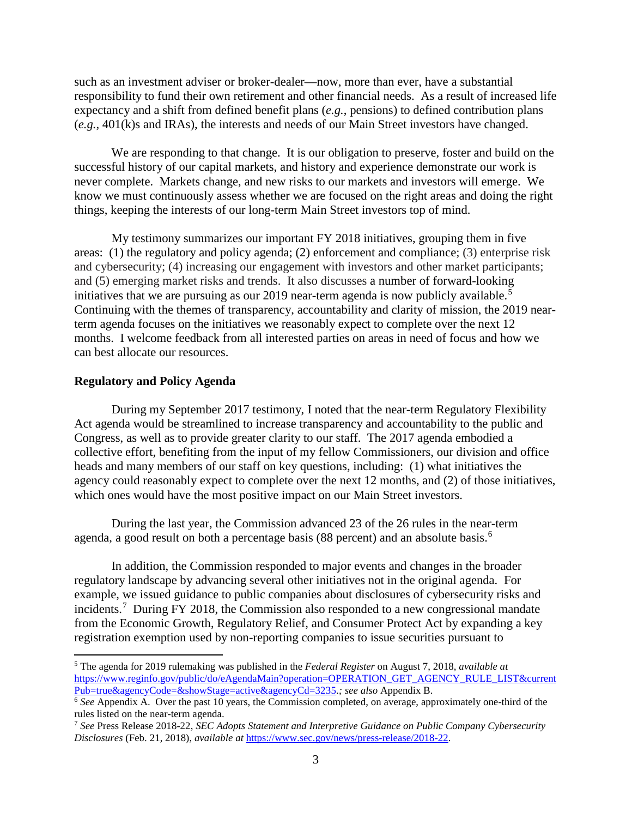such as an investment adviser or broker-dealer—now, more than ever, have a substantial responsibility to fund their own retirement and other financial needs. As a result of increased life expectancy and a shift from defined benefit plans (*e.g.*, pensions) to defined contribution plans (*e.g.*, 401(k)s and IRAs), the interests and needs of our Main Street investors have changed.

We are responding to that change. It is our obligation to preserve, foster and build on the successful history of our capital markets, and history and experience demonstrate our work is never complete. Markets change, and new risks to our markets and investors will emerge. We know we must continuously assess whether we are focused on the right areas and doing the right things, keeping the interests of our long-term Main Street investors top of mind.

My testimony summarizes our important FY 2018 initiatives, grouping them in five areas: (1) the regulatory and policy agenda; (2) enforcement and compliance; (3) enterprise risk and cybersecurity; (4) increasing our engagement with investors and other market participants; and (5) emerging market risks and trends. It also discusses a number of forward-looking initiatives that we are pursuing as our 2019 near-term agenda is now publicly available.<sup>[5](#page-2-0)</sup> Continuing with the themes of transparency, accountability and clarity of mission, the 2019 nearterm agenda focuses on the initiatives we reasonably expect to complete over the next 12 months. I welcome feedback from all interested parties on areas in need of focus and how we can best allocate our resources.

#### **Regulatory and Policy Agenda**

l

During my September 2017 testimony, I noted that the near-term Regulatory Flexibility Act agenda would be streamlined to increase transparency and accountability to the public and Congress, as well as to provide greater clarity to our staff. The 2017 agenda embodied a collective effort, benefiting from the input of my fellow Commissioners, our division and office heads and many members of our staff on key questions, including: (1) what initiatives the agency could reasonably expect to complete over the next 12 months, and (2) of those initiatives, which ones would have the most positive impact on our Main Street investors.

During the last year, the Commission advanced 23 of the 26 rules in the near-term agenda, a good result on both a percentage basis (88 percent) and an absolute basis.<sup>[6](#page-2-1)</sup>

In addition, the Commission responded to major events and changes in the broader regulatory landscape by advancing several other initiatives not in the original agenda. For example, we issued guidance to public companies about disclosures of cybersecurity risks and incidents.<sup>[7](#page-2-2)</sup> During FY 2018, the Commission also responded to a new congressional mandate from the Economic Growth, Regulatory Relief, and Consumer Protect Act by expanding a key registration exemption used by non-reporting companies to issue securities pursuant to

<span id="page-2-0"></span><sup>5</sup> The agenda for 2019 rulemaking was published in the *Federal Register* on August 7, 2018, *available at*  [https://www.reginfo.gov/public/do/eAgendaMain?operation=OPERATION\\_GET\\_AGENCY\\_RULE\\_LIST&current](https://www.reginfo.gov/public/do/eAgendaMain?operation=OPERATION_GET_AGENCY_RULE_LIST¤tPub=true&agencyCode=&showStage=active&agencyCd=3235) [Pub=true&agencyCode=&showStage=active&agencyCd=3235.](https://www.reginfo.gov/public/do/eAgendaMain?operation=OPERATION_GET_AGENCY_RULE_LIST¤tPub=true&agencyCode=&showStage=active&agencyCd=3235)*; see also* Appendix B.

<span id="page-2-1"></span><sup>&</sup>lt;sup>6</sup> See Appendix A. Over the past 10 years, the Commission completed, on average, approximately one-third of the rules listed on the near-term agenda.

<span id="page-2-2"></span><sup>7</sup> *See* Press Release 2018-22, *SEC Adopts Statement and Interpretive Guidance on Public Company Cybersecurity Disclosures* (Feb. 21, 2018), *available at* [https://www.sec.gov/news/press-release/2018-22.](https://www.sec.gov/news/press-release/2018-22)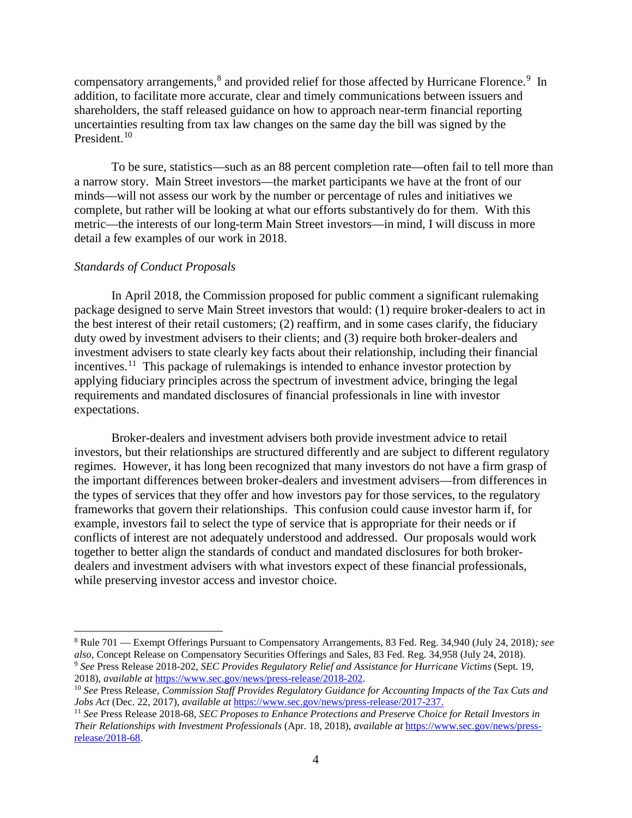compensatory arrangements,<sup>[8](#page-3-0)</sup> and provided relief for those affected by Hurricane Florence.<sup>[9](#page-3-1)</sup> In addition, to facilitate more accurate, clear and timely communications between issuers and shareholders, the staff released guidance on how to approach near-term financial reporting uncertainties resulting from tax law changes on the same day the bill was signed by the President.<sup>[10](#page-3-2)</sup>

To be sure, statistics—such as an 88 percent completion rate—often fail to tell more than a narrow story. Main Street investors—the market participants we have at the front of our minds—will not assess our work by the number or percentage of rules and initiatives we complete, but rather will be looking at what our efforts substantively do for them. With this metric—the interests of our long-term Main Street investors—in mind, I will discuss in more detail a few examples of our work in 2018.

## *Standards of Conduct Proposals*

l

In April 2018, the Commission proposed for public comment a significant rulemaking package designed to serve Main Street investors that would: (1) require broker-dealers to act in the best interest of their retail customers; (2) reaffirm, and in some cases clarify, the fiduciary duty owed by investment advisers to their clients; and (3) require both broker-dealers and investment advisers to state clearly key facts about their relationship, including their financial incentives.<sup>[11](#page-3-3)</sup> This package of rulemakings is intended to enhance investor protection by applying fiduciary principles across the spectrum of investment advice, bringing the legal requirements and mandated disclosures of financial professionals in line with investor expectations.

Broker-dealers and investment advisers both provide investment advice to retail investors, but their relationships are structured differently and are subject to different regulatory regimes. However, it has long been recognized that many investors do not have a firm grasp of the important differences between broker-dealers and investment advisers—from differences in the types of services that they offer and how investors pay for those services, to the regulatory frameworks that govern their relationships. This confusion could cause investor harm if, for example, investors fail to select the type of service that is appropriate for their needs or if conflicts of interest are not adequately understood and addressed. Our proposals would work together to better align the standards of conduct and mandated disclosures for both brokerdealers and investment advisers with what investors expect of these financial professionals, while preserving investor access and investor choice.

<span id="page-3-1"></span><span id="page-3-0"></span><sup>8</sup> Rule 701 — Exempt Offerings Pursuant to Compensatory Arrangements, 83 Fed. Reg. 34,940 (July 24, 2018)*; see also*, Concept Release on Compensatory Securities Offerings and Sales, 83 Fed. Reg. 34,958 (July 24, 2018). <sup>9</sup> See Press Release 2018-202, *SEC Provides Regulatory Relief and Assistance for Hurricane Victims* (Sept. 19, 2018), *available at https://www.sec.gov/news/press-release/2018-202.* 

<span id="page-3-2"></span><sup>&</sup>lt;sup>10</sup> See Press Release, *Commission Staff Provides Regulatory Guidance for Accounting Impacts of the Tax Cuts and Jobs Act (Dec. 22, 2017), available at https://www.sec.gov/news/press-release/2017-237.* 

<span id="page-3-3"></span><sup>&</sup>lt;sup>11</sup> See Press Release 2018-68, SEC Proposes to Enhance Protections and Preserve Choice for Retail Investors in *Their Relationships with Investment Professionals* (Apr. 18, 2018), *available at* [https://www.sec.gov/news/press](https://www.sec.gov/news/press-release/2018-68)[release/2018-68.](https://www.sec.gov/news/press-release/2018-68)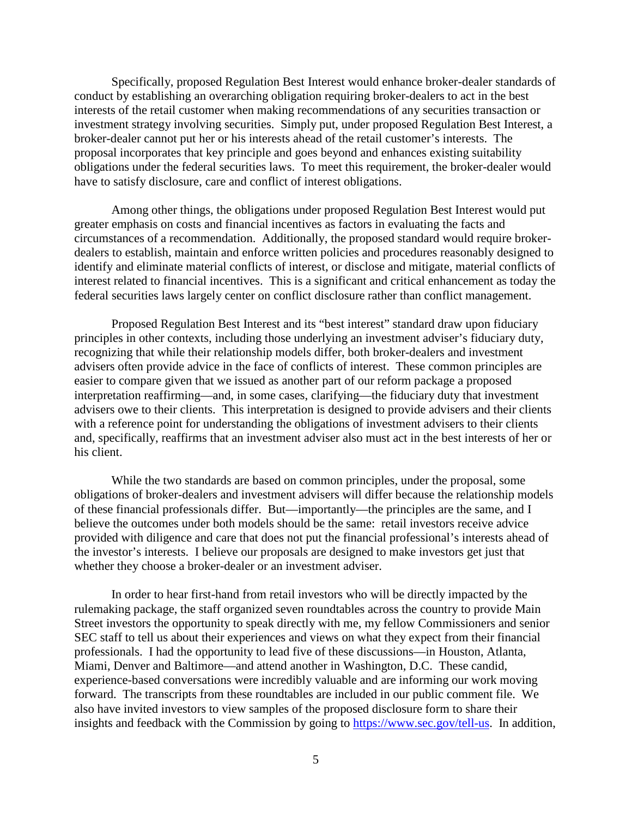Specifically, proposed Regulation Best Interest would enhance broker-dealer standards of conduct by establishing an overarching obligation requiring broker-dealers to act in the best interests of the retail customer when making recommendations of any securities transaction or investment strategy involving securities. Simply put, under proposed Regulation Best Interest, a broker-dealer cannot put her or his interests ahead of the retail customer's interests. The proposal incorporates that key principle and goes beyond and enhances existing suitability obligations under the federal securities laws. To meet this requirement, the broker-dealer would have to satisfy disclosure, care and conflict of interest obligations.

Among other things, the obligations under proposed Regulation Best Interest would put greater emphasis on costs and financial incentives as factors in evaluating the facts and circumstances of a recommendation. Additionally, the proposed standard would require brokerdealers to establish, maintain and enforce written policies and procedures reasonably designed to identify and eliminate material conflicts of interest, or disclose and mitigate, material conflicts of interest related to financial incentives. This is a significant and critical enhancement as today the federal securities laws largely center on conflict disclosure rather than conflict management.

Proposed Regulation Best Interest and its "best interest" standard draw upon fiduciary principles in other contexts, including those underlying an investment adviser's fiduciary duty, recognizing that while their relationship models differ, both broker-dealers and investment advisers often provide advice in the face of conflicts of interest. These common principles are easier to compare given that we issued as another part of our reform package a proposed interpretation reaffirming—and, in some cases, clarifying—the fiduciary duty that investment advisers owe to their clients. This interpretation is designed to provide advisers and their clients with a reference point for understanding the obligations of investment advisers to their clients and, specifically, reaffirms that an investment adviser also must act in the best interests of her or his client.

While the two standards are based on common principles, under the proposal, some obligations of broker-dealers and investment advisers will differ because the relationship models of these financial professionals differ. But—importantly—the principles are the same, and I believe the outcomes under both models should be the same: retail investors receive advice provided with diligence and care that does not put the financial professional's interests ahead of the investor's interests. I believe our proposals are designed to make investors get just that whether they choose a broker-dealer or an investment adviser.

In order to hear first-hand from retail investors who will be directly impacted by the rulemaking package, the staff organized seven roundtables across the country to provide Main Street investors the opportunity to speak directly with me, my fellow Commissioners and senior SEC staff to tell us about their experiences and views on what they expect from their financial professionals. I had the opportunity to lead five of these discussions—in Houston, Atlanta, Miami, Denver and Baltimore—and attend another in Washington, D.C. These candid, experience-based conversations were incredibly valuable and are informing our work moving forward. The transcripts from these roundtables are included in our public comment file. We also have invited investors to view samples of the proposed disclosure form to share their insights and feedback with the Commission by going to [https://www.sec.gov/tell-us.](https://www.sec.gov/tell-us) In addition,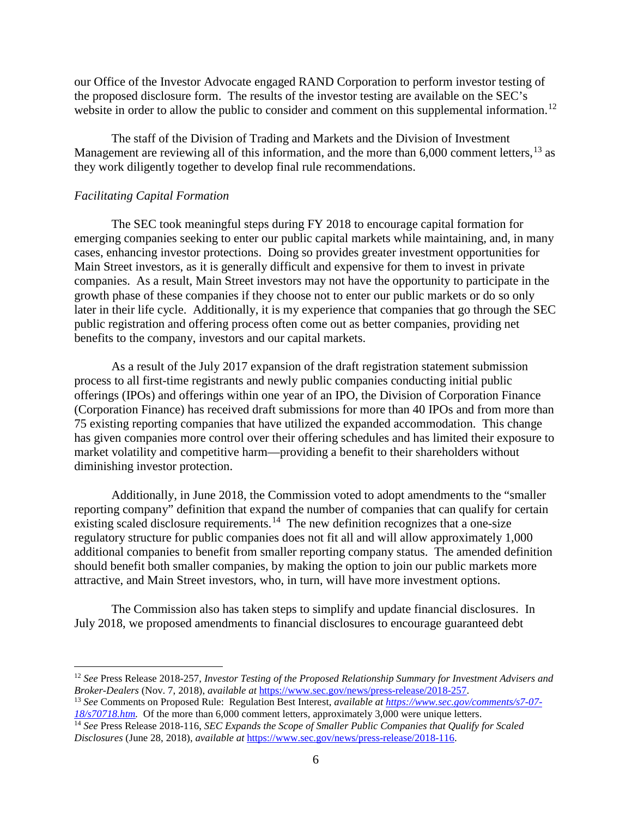our Office of the Investor Advocate engaged RAND Corporation to perform investor testing of the proposed disclosure form. The results of the investor testing are available on the SEC's website in order to allow the public to consider and comment on this supplemental information.<sup>[12](#page-5-0)</sup>

The staff of the Division of Trading and Markets and the Division of Investment Management are reviewing all of this information, and the more than  $6,000$  comment letters,  $^{13}$  $^{13}$  $^{13}$  as they work diligently together to develop final rule recommendations.

#### *Facilitating Capital Formation*

 $\overline{a}$ 

The SEC took meaningful steps during FY 2018 to encourage capital formation for emerging companies seeking to enter our public capital markets while maintaining, and, in many cases, enhancing investor protections. Doing so provides greater investment opportunities for Main Street investors, as it is generally difficult and expensive for them to invest in private companies. As a result, Main Street investors may not have the opportunity to participate in the growth phase of these companies if they choose not to enter our public markets or do so only later in their life cycle. Additionally, it is my experience that companies that go through the SEC public registration and offering process often come out as better companies, providing net benefits to the company, investors and our capital markets.

As a result of the July 2017 expansion of the draft registration statement submission process to all first-time registrants and newly public companies conducting initial public offerings (IPOs) and offerings within one year of an IPO, the Division of Corporation Finance (Corporation Finance) has received draft submissions for more than 40 IPOs and from more than 75 existing reporting companies that have utilized the expanded accommodation. This change has given companies more control over their offering schedules and has limited their exposure to market volatility and competitive harm—providing a benefit to their shareholders without diminishing investor protection.

Additionally, in June 2018, the Commission voted to adopt amendments to the "smaller reporting company" definition that expand the number of companies that can qualify for certain existing scaled disclosure requirements.<sup>14</sup> The new definition recognizes that a one-size regulatory structure for public companies does not fit all and will allow approximately 1,000 additional companies to benefit from smaller reporting company status. The amended definition should benefit both smaller companies, by making the option to join our public markets more attractive, and Main Street investors, who, in turn, will have more investment options.

The Commission also has taken steps to simplify and update financial disclosures. In July 2018, we proposed amendments to financial disclosures to encourage guaranteed debt

<span id="page-5-0"></span><sup>12</sup> *See* Press Release 2018-257, *Investor Testing of the Proposed Relationship Summary for Investment Advisers and Broker-Dealers (Nov. 7, 2018), available at https://www.sec.gov/news/press-release/2018-257.* 

<span id="page-5-1"></span><sup>&</sup>lt;sup>13</sup> See Comments on Proposed Rule: Regulation Best Interest, *available a[t https://www.sec.gov/comments/s7-07-](https://www.sec.gov/comments/s7-07-18/s70718.htm) [18/s70718.htm.](https://www.sec.gov/comments/s7-07-18/s70718.htm)* Of the more than 6,000 comment letters, approximately 3,000 were unique letters.

<span id="page-5-2"></span><sup>14</sup> *See* Press Release 2018-116, *SEC Expands the Scope of Smaller Public Companies that Qualify for Scaled Disclosures* (June 28, 2018), *available at* [https://www.sec.gov/news/press-release/2018-116.](https://www.sec.gov/news/press-release/2018-116)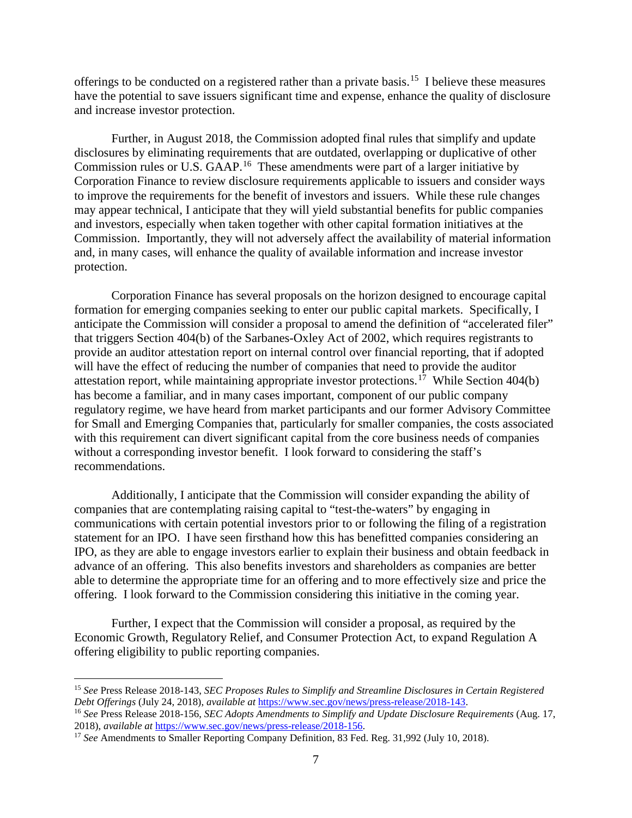offerings to be conducted on a registered rather than a private basis.[15](#page-6-0) I believe these measures have the potential to save issuers significant time and expense, enhance the quality of disclosure and increase investor protection.

Further, in August 2018, the Commission adopted final rules that simplify and update disclosures by eliminating requirements that are outdated, overlapping or duplicative of other Commission rules or U.S. GAAP.<sup>16</sup> These amendments were part of a larger initiative by Corporation Finance to review disclosure requirements applicable to issuers and consider ways to improve the requirements for the benefit of investors and issuers. While these rule changes may appear technical, I anticipate that they will yield substantial benefits for public companies and investors, especially when taken together with other capital formation initiatives at the Commission. Importantly, they will not adversely affect the availability of material information and, in many cases, will enhance the quality of available information and increase investor protection.

Corporation Finance has several proposals on the horizon designed to encourage capital formation for emerging companies seeking to enter our public capital markets. Specifically, I anticipate the Commission will consider a proposal to amend the definition of "accelerated filer" that triggers Section 404(b) of the Sarbanes-Oxley Act of 2002, which requires registrants to provide an auditor attestation report on internal control over financial reporting, that if adopted will have the effect of reducing the number of companies that need to provide the auditor attestation report, while maintaining appropriate investor protections.<sup>[17](#page-6-2)</sup> While Section  $404(b)$ has become a familiar, and in many cases important, component of our public company regulatory regime, we have heard from market participants and our former Advisory Committee for Small and Emerging Companies that, particularly for smaller companies, the costs associated with this requirement can divert significant capital from the core business needs of companies without a corresponding investor benefit. I look forward to considering the staff's recommendations.

Additionally, I anticipate that the Commission will consider expanding the ability of companies that are contemplating raising capital to "test-the-waters" by engaging in communications with certain potential investors prior to or following the filing of a registration statement for an IPO. I have seen firsthand how this has benefitted companies considering an IPO, as they are able to engage investors earlier to explain their business and obtain feedback in advance of an offering. This also benefits investors and shareholders as companies are better able to determine the appropriate time for an offering and to more effectively size and price the offering. I look forward to the Commission considering this initiative in the coming year.

Further, I expect that the Commission will consider a proposal, as required by the Economic Growth, Regulatory Relief, and Consumer Protection Act, to expand Regulation A offering eligibility to public reporting companies.

 $\overline{\phantom{a}}$ 

<span id="page-6-0"></span><sup>&</sup>lt;sup>15</sup> *See* Press Release 2018-143, *SEC Proposes Rules to Simplify and Streamline Disclosures in Certain Registered Debt Offerings* (July 24, 2018), *available at https://www.sec.gov/news/press-release/2018-143.* 

<span id="page-6-1"></span><sup>&</sup>lt;sup>16</sup> See Press Release 2018-156, SEC Adopts Amendments to Simplify and Update Disclosure Requirements (Aug. 17, 2018), available at  $\frac{https://www.sec.gov/news/press-release/2018-156}{https://www.sec.gov/news/press-release/2018-156}$ .

<span id="page-6-2"></span><sup>&</sup>lt;sup>17</sup> See Amendments to Smaller Reporting Company Definition, 83 Fed. Reg. 31,992 (July 10, 2018).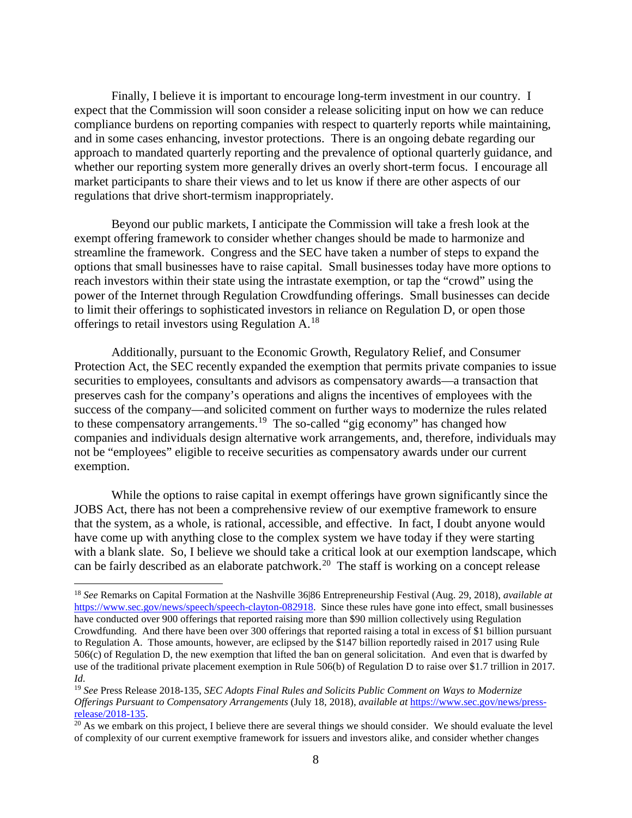Finally, I believe it is important to encourage long-term investment in our country. I expect that the Commission will soon consider a release soliciting input on how we can reduce compliance burdens on reporting companies with respect to quarterly reports while maintaining, and in some cases enhancing, investor protections. There is an ongoing debate regarding our approach to mandated quarterly reporting and the prevalence of optional quarterly guidance, and whether our reporting system more generally drives an overly short-term focus. I encourage all market participants to share their views and to let us know if there are other aspects of our regulations that drive short-termism inappropriately.

Beyond our public markets, I anticipate the Commission will take a fresh look at the exempt offering framework to consider whether changes should be made to harmonize and streamline the framework. Congress and the SEC have taken a number of steps to expand the options that small businesses have to raise capital. Small businesses today have more options to reach investors within their state using the intrastate exemption, or tap the "crowd" using the power of the Internet through Regulation Crowdfunding offerings. Small businesses can decide to limit their offerings to sophisticated investors in reliance on Regulation D, or open those offerings to retail investors using Regulation A.[18](#page-7-0)

Additionally, pursuant to the Economic Growth, Regulatory Relief, and Consumer Protection Act, the SEC recently expanded the exemption that permits private companies to issue securities to employees, consultants and advisors as compensatory awards—a transaction that preserves cash for the company's operations and aligns the incentives of employees with the success of the company—and solicited comment on further ways to modernize the rules related to these compensatory arrangements.<sup>[19](#page-7-1)</sup> The so-called "gig economy" has changed how companies and individuals design alternative work arrangements, and, therefore, individuals may not be "employees" eligible to receive securities as compensatory awards under our current exemption.

While the options to raise capital in exempt offerings have grown significantly since the JOBS Act, there has not been a comprehensive review of our exemptive framework to ensure that the system, as a whole, is rational, accessible, and effective. In fact, I doubt anyone would have come up with anything close to the complex system we have today if they were starting with a blank slate. So, I believe we should take a critical look at our exemption landscape, which can be fairly described as an elaborate patchwork.<sup>20</sup> The staff is working on a concept release

<span id="page-7-0"></span><sup>18</sup> *See* Remarks on Capital Formation at the Nashville 36|86 Entrepreneurship Festival (Aug. 29, 2018), *available at* [https://www.sec.gov/news/speech/speech-clayton-082918.](https://www.sec.gov/news/speech/speech-clayton-082918) Since these rules have gone into effect, small businesses have conducted over 900 offerings that reported raising more than \$90 million collectively using Regulation Crowdfunding. And there have been over 300 offerings that reported raising a total in excess of \$1 billion pursuant to Regulation A. Those amounts, however, are eclipsed by the \$147 billion reportedly raised in 2017 using Rule 506(c) of Regulation D, the new exemption that lifted the ban on general solicitation. And even that is dwarfed by use of the traditional private placement exemption in Rule 506(b) of Regulation D to raise over \$1.7 trillion in 2017. *Id.*

<span id="page-7-1"></span><sup>19</sup> *See* Press Release 2018-135, *SEC Adopts Final Rules and Solicits Public Comment on Ways to Modernize Offerings Pursuant to Compensatory Arrangements* (July 18, 2018), *available at https://www.sec.gov/news/press-*<br>release/2018-135.

<span id="page-7-2"></span> $20$  As we embark on this project, I believe there are several things we should consider. We should evaluate the level of complexity of our current exemptive framework for issuers and investors alike, and consider whether changes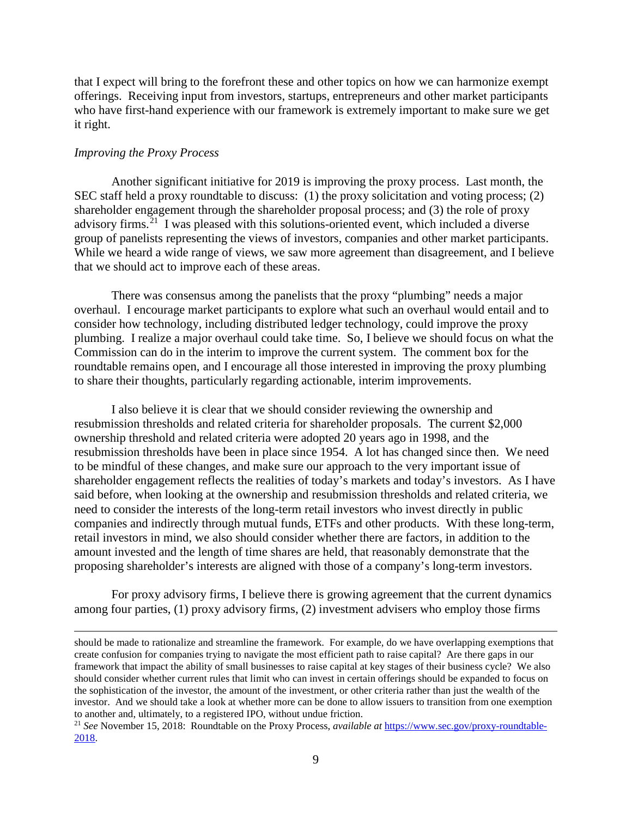that I expect will bring to the forefront these and other topics on how we can harmonize exempt offerings. Receiving input from investors, startups, entrepreneurs and other market participants who have first-hand experience with our framework is extremely important to make sure we get it right.

#### *Improving the Proxy Process*

l

Another significant initiative for 2019 is improving the proxy process. Last month, the SEC staff held a proxy roundtable to discuss: (1) the proxy solicitation and voting process; (2) shareholder engagement through the shareholder proposal process; and (3) the role of proxy advisory firms.<sup>[21](#page-8-0)</sup> I was pleased with this solutions-oriented event, which included a diverse group of panelists representing the views of investors, companies and other market participants. While we heard a wide range of views, we saw more agreement than disagreement, and I believe that we should act to improve each of these areas.

There was consensus among the panelists that the proxy "plumbing" needs a major overhaul. I encourage market participants to explore what such an overhaul would entail and to consider how technology, including distributed ledger technology, could improve the proxy plumbing. I realize a major overhaul could take time. So, I believe we should focus on what the Commission can do in the interim to improve the current system. The comment box for the roundtable remains open, and I encourage all those interested in improving the proxy plumbing to share their thoughts, particularly regarding actionable, interim improvements.

I also believe it is clear that we should consider reviewing the ownership and resubmission thresholds and related criteria for shareholder proposals. The current \$2,000 ownership threshold and related criteria were adopted 20 years ago in 1998, and the resubmission thresholds have been in place since 1954. A lot has changed since then. We need to be mindful of these changes, and make sure our approach to the very important issue of shareholder engagement reflects the realities of today's markets and today's investors. As I have said before, when looking at the ownership and resubmission thresholds and related criteria, we need to consider the interests of the long-term retail investors who invest directly in public companies and indirectly through mutual funds, ETFs and other products. With these long-term, retail investors in mind, we also should consider whether there are factors, in addition to the amount invested and the length of time shares are held, that reasonably demonstrate that the proposing shareholder's interests are aligned with those of a company's long-term investors.

For proxy advisory firms, I believe there is growing agreement that the current dynamics among four parties, (1) proxy advisory firms, (2) investment advisers who employ those firms

should be made to rationalize and streamline the framework. For example, do we have overlapping exemptions that create confusion for companies trying to navigate the most efficient path to raise capital? Are there gaps in our framework that impact the ability of small businesses to raise capital at key stages of their business cycle? We also should consider whether current rules that limit who can invest in certain offerings should be expanded to focus on the sophistication of the investor, the amount of the investment, or other criteria rather than just the wealth of the investor. And we should take a look at whether more can be done to allow issuers to transition from one exemption to another and, ultimately, to a registered IPO, without undue friction.

<span id="page-8-0"></span><sup>21</sup> *See* November 15, 2018: Roundtable on the Proxy Process, *available at* [https://www.sec.gov/proxy-roundtable-](https://www.sec.gov/proxy-roundtable-2018)[2018.](https://www.sec.gov/proxy-roundtable-2018)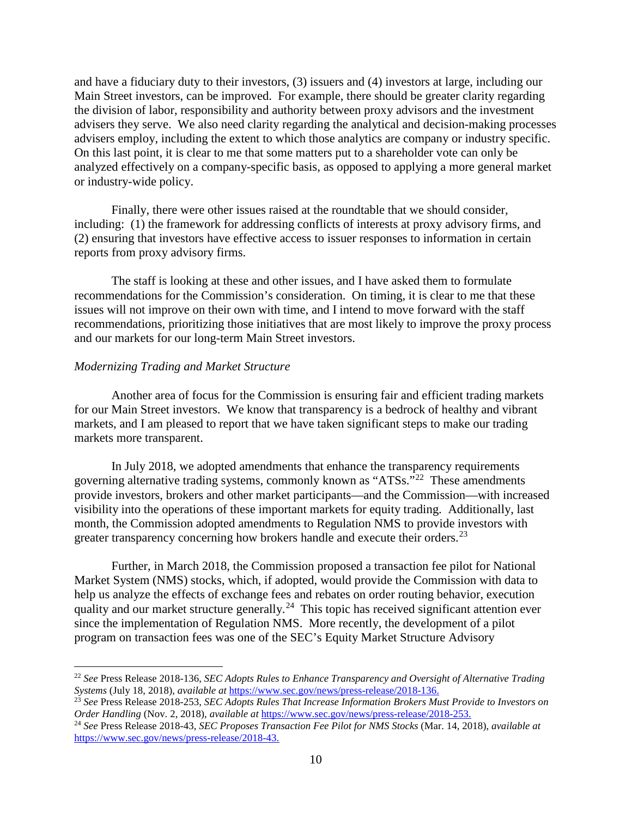and have a fiduciary duty to their investors, (3) issuers and (4) investors at large, including our Main Street investors, can be improved. For example, there should be greater clarity regarding the division of labor, responsibility and authority between proxy advisors and the investment advisers they serve. We also need clarity regarding the analytical and decision-making processes advisers employ, including the extent to which those analytics are company or industry specific. On this last point, it is clear to me that some matters put to a shareholder vote can only be analyzed effectively on a company-specific basis, as opposed to applying a more general market or industry-wide policy.

Finally, there were other issues raised at the roundtable that we should consider, including: (1) the framework for addressing conflicts of interests at proxy advisory firms, and (2) ensuring that investors have effective access to issuer responses to information in certain reports from proxy advisory firms.

The staff is looking at these and other issues, and I have asked them to formulate recommendations for the Commission's consideration. On timing, it is clear to me that these issues will not improve on their own with time, and I intend to move forward with the staff recommendations, prioritizing those initiatives that are most likely to improve the proxy process and our markets for our long-term Main Street investors.

#### *Modernizing Trading and Market Structure*

 $\overline{a}$ 

Another area of focus for the Commission is ensuring fair and efficient trading markets for our Main Street investors. We know that transparency is a bedrock of healthy and vibrant markets, and I am pleased to report that we have taken significant steps to make our trading markets more transparent.

In July 2018, we adopted amendments that enhance the transparency requirements governing alternative trading systems, commonly known as "ATSs."[22](#page-9-0) These amendments provide investors, brokers and other market participants—and the Commission—with increased visibility into the operations of these important markets for equity trading. Additionally, last month, the Commission adopted amendments to Regulation NMS to provide investors with greater transparency concerning how brokers handle and execute their orders.<sup>[23](#page-9-1)</sup>

Further, in March 2018, the Commission proposed a transaction fee pilot for National Market System (NMS) stocks, which, if adopted, would provide the Commission with data to help us analyze the effects of exchange fees and rebates on order routing behavior, execution quality and our market structure generally.<sup>[24](#page-9-2)</sup> This topic has received significant attention ever since the implementation of Regulation NMS. More recently, the development of a pilot program on transaction fees was one of the SEC's Equity Market Structure Advisory

<span id="page-9-0"></span><sup>&</sup>lt;sup>22</sup> *See* Press Release 2018-136, *SEC Adopts Rules to Enhance Transparency and Oversight of Alternative Trading Systems (July 18, 2018), available at https://www.sec.gov/news/press-release/2018-136.* 

<span id="page-9-1"></span><sup>&</sup>lt;sup>23</sup> See Press Release 2018-253, SEC Adopts Rules That Increase Information Brokers Must Provide to Investors on Order Handling (Nov. 2, 2018), available at https://www.sec.gov/news/press-release/2018-253.

<span id="page-9-2"></span><sup>&</sup>lt;sup>24</sup> See Press Release 2018-43, SEC Proposes Transaction Fee Pilot for NMS Stocks (Mar. 14, 2018), available at [https://www.sec.gov/news/press-release/2018-43.](https://www.sec.gov/news/press-release/2018-43)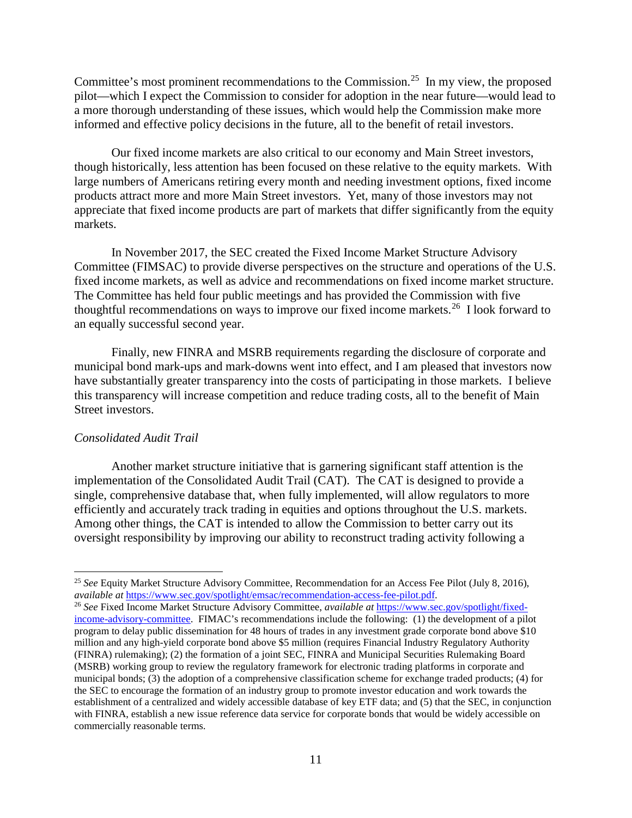Committee's most prominent recommendations to the Commission.<sup>[25](#page-10-0)</sup> In my view, the proposed pilot—which I expect the Commission to consider for adoption in the near future—would lead to a more thorough understanding of these issues, which would help the Commission make more informed and effective policy decisions in the future, all to the benefit of retail investors.

Our fixed income markets are also critical to our economy and Main Street investors, though historically, less attention has been focused on these relative to the equity markets. With large numbers of Americans retiring every month and needing investment options, fixed income products attract more and more Main Street investors. Yet, many of those investors may not appreciate that fixed income products are part of markets that differ significantly from the equity markets.

In November 2017, the SEC created the Fixed Income Market Structure Advisory Committee (FIMSAC) to provide diverse perspectives on the structure and operations of the U.S. fixed income markets, as well as advice and recommendations on fixed income market structure. The Committee has held four public meetings and has provided the Commission with five thoughtful recommendations on ways to improve our fixed income markets.<sup>[26](#page-10-1)</sup> I look forward to an equally successful second year.

Finally, new FINRA and MSRB requirements regarding the disclosure of corporate and municipal bond mark-ups and mark-downs went into effect, and I am pleased that investors now have substantially greater transparency into the costs of participating in those markets. I believe this transparency will increase competition and reduce trading costs, all to the benefit of Main Street investors.

## *Consolidated Audit Trail*

l

Another market structure initiative that is garnering significant staff attention is the implementation of the Consolidated Audit Trail (CAT). The CAT is designed to provide a single, comprehensive database that, when fully implemented, will allow regulators to more efficiently and accurately track trading in equities and options throughout the U.S. markets. Among other things, the CAT is intended to allow the Commission to better carry out its oversight responsibility by improving our ability to reconstruct trading activity following a

<span id="page-10-0"></span><sup>25</sup> *See* Equity Market Structure Advisory Committee, Recommendation for an Access Fee Pilot (July 8, 2016), *available at* [https://www.sec.gov/spotlight/emsac/recommendation-access-fee-pilot.pdf.](https://www.sec.gov/spotlight/emsac/recommendation-access-fee-pilot.pdf) 26 *See* Fixed Income Market Structure Advisory Committee, *available at* [https://www.sec.gov/spotlight/fixed-](https://www.sec.gov/spotlight/fixed-income-advisory-committee)

<span id="page-10-1"></span>[income-advisory-committee.](https://www.sec.gov/spotlight/fixed-income-advisory-committee) FIMAC's recommendations include the following: (1) the development of a pilot program to delay public dissemination for 48 hours of trades in any investment grade corporate bond above \$10 million and any high-yield corporate bond above \$5 million (requires Financial Industry Regulatory Authority (FINRA) rulemaking); (2) the formation of a joint SEC, FINRA and Municipal Securities Rulemaking Board (MSRB) working group to review the regulatory framework for electronic trading platforms in corporate and municipal bonds; (3) the adoption of a comprehensive classification scheme for exchange traded products; (4) for the SEC to encourage the formation of an industry group to promote investor education and work towards the establishment of a centralized and widely accessible database of key ETF data; and (5) that the SEC, in conjunction with FINRA, establish a new issue reference data service for corporate bonds that would be widely accessible on commercially reasonable terms.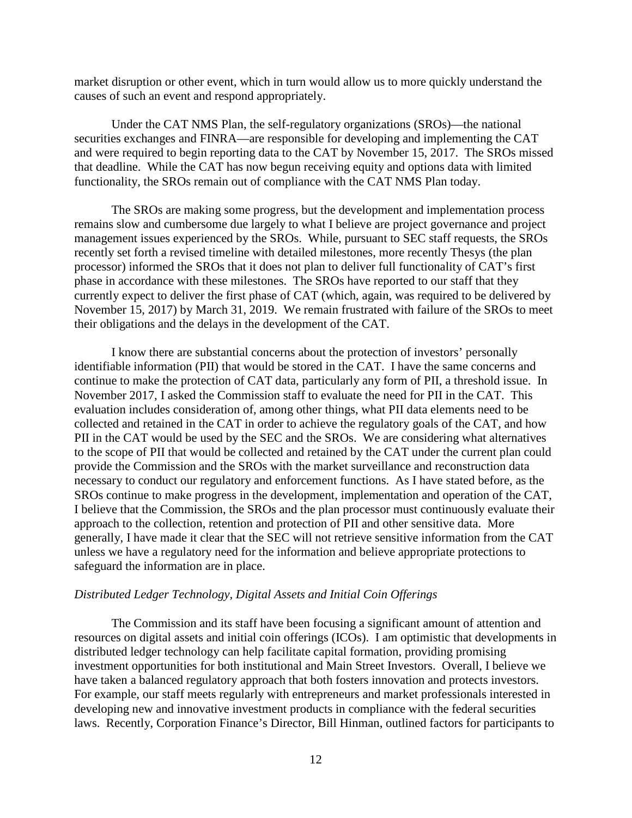market disruption or other event, which in turn would allow us to more quickly understand the causes of such an event and respond appropriately.

Under the CAT NMS Plan, the self-regulatory organizations (SROs)—the national securities exchanges and FINRA—are responsible for developing and implementing the CAT and were required to begin reporting data to the CAT by November 15, 2017. The SROs missed that deadline. While the CAT has now begun receiving equity and options data with limited functionality, the SROs remain out of compliance with the CAT NMS Plan today.

The SROs are making some progress, but the development and implementation process remains slow and cumbersome due largely to what I believe are project governance and project management issues experienced by the SROs. While, pursuant to SEC staff requests, the SROs recently set forth a revised timeline with detailed milestones, more recently Thesys (the plan processor) informed the SROs that it does not plan to deliver full functionality of CAT's first phase in accordance with these milestones. The SROs have reported to our staff that they currently expect to deliver the first phase of CAT (which, again, was required to be delivered by November 15, 2017) by March 31, 2019. We remain frustrated with failure of the SROs to meet their obligations and the delays in the development of the CAT.

I know there are substantial concerns about the protection of investors' personally identifiable information (PII) that would be stored in the CAT. I have the same concerns and continue to make the protection of CAT data, particularly any form of PII, a threshold issue. In November 2017, I asked the Commission staff to evaluate the need for PII in the CAT. This evaluation includes consideration of, among other things, what PII data elements need to be collected and retained in the CAT in order to achieve the regulatory goals of the CAT, and how PII in the CAT would be used by the SEC and the SROs. We are considering what alternatives to the scope of PII that would be collected and retained by the CAT under the current plan could provide the Commission and the SROs with the market surveillance and reconstruction data necessary to conduct our regulatory and enforcement functions. As I have stated before, as the SROs continue to make progress in the development, implementation and operation of the CAT, I believe that the Commission, the SROs and the plan processor must continuously evaluate their approach to the collection, retention and protection of PII and other sensitive data. More generally, I have made it clear that the SEC will not retrieve sensitive information from the CAT unless we have a regulatory need for the information and believe appropriate protections to safeguard the information are in place.

#### *Distributed Ledger Technology, Digital Assets and Initial Coin Offerings*

The Commission and its staff have been focusing a significant amount of attention and resources on digital assets and initial coin offerings (ICOs). I am optimistic that developments in distributed ledger technology can help facilitate capital formation, providing promising investment opportunities for both institutional and Main Street Investors. Overall, I believe we have taken a balanced regulatory approach that both fosters innovation and protects investors. For example, our staff meets regularly with entrepreneurs and market professionals interested in developing new and innovative investment products in compliance with the federal securities laws. Recently, Corporation Finance's Director, Bill Hinman, outlined factors for participants to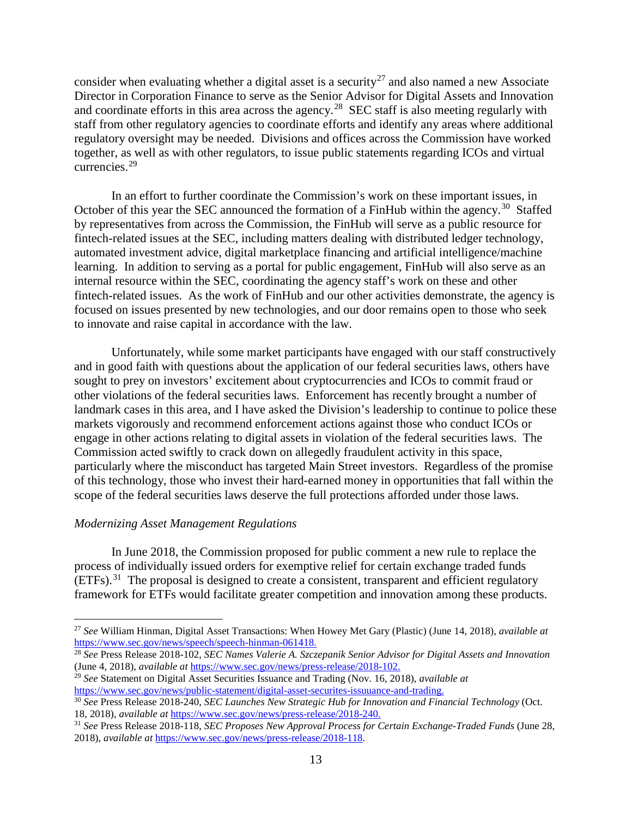consider when evaluating whether a digital asset is a security<sup>[27](#page-12-0)</sup> and also named a new Associate Director in Corporation Finance to serve as the Senior Advisor for Digital Assets and Innovation and coordinate efforts in this area across the agency.<sup>[28](#page-12-1)</sup> SEC staff is also meeting regularly with staff from other regulatory agencies to coordinate efforts and identify any areas where additional regulatory oversight may be needed. Divisions and offices across the Commission have worked together, as well as with other regulators, to issue public statements regarding ICOs and virtual currencies.[29](#page-12-2) 

In an effort to further coordinate the Commission's work on these important issues, in October of this year the SEC announced the formation of a FinHub within the agency.<sup>[30](#page-12-3)</sup> Staffed by representatives from across the Commission, the FinHub will serve as a public resource for fintech-related issues at the SEC, including matters dealing with distributed ledger technology, automated investment advice, digital marketplace financing and artificial intelligence/machine learning. In addition to serving as a portal for public engagement, FinHub will also serve as an internal resource within the SEC, coordinating the agency staff's work on these and other fintech-related issues. As the work of FinHub and our other activities demonstrate, the agency is focused on issues presented by new technologies, and our door remains open to those who seek to innovate and raise capital in accordance with the law.

Unfortunately, while some market participants have engaged with our staff constructively and in good faith with questions about the application of our federal securities laws, others have sought to prey on investors' excitement about cryptocurrencies and ICOs to commit fraud or other violations of the federal securities laws. Enforcement has recently brought a number of landmark cases in this area, and I have asked the Division's leadership to continue to police these markets vigorously and recommend enforcement actions against those who conduct ICOs or engage in other actions relating to digital assets in violation of the federal securities laws. The Commission acted swiftly to crack down on allegedly fraudulent activity in this space, particularly where the misconduct has targeted Main Street investors. Regardless of the promise of this technology, those who invest their hard-earned money in opportunities that fall within the scope of the federal securities laws deserve the full protections afforded under those laws.

#### *Modernizing Asset Management Regulations*

l

In June 2018, the Commission proposed for public comment a new rule to replace the process of individually issued orders for exemptive relief for certain exchange traded funds (ETFs).[31](#page-12-4) The proposal is designed to create a consistent, transparent and efficient regulatory framework for ETFs would facilitate greater competition and innovation among these products.

<span id="page-12-1"></span><sup>28</sup> See Press Release 2018-102, *SEC Names Valerie A. Szczepanik Senior Advisor for Digital Assets and Innovation*<br>(June 4, 2018), *available at https://www.sec.gov/news/press-release/2018-102.* 

<span id="page-12-2"></span><sup>29</sup> See Statement on Digital Asset Securities Issuance and Trading (Nov. 16, 2018), *available at* https://www.sec.gov/news/public-statement/digital-asset-securities-issuuance-and-trading.

<span id="page-12-0"></span><sup>27</sup> *See* William Hinman, Digital Asset Transactions: When Howey Met Gary (Plastic) (June 14, 2018), *available at* 

<span id="page-12-3"></span><sup>&</sup>lt;sup>30</sup> See Press Release 2018-240, *SEC Launches New Strategic Hub for Innovation and Financial Technology* (Oct. 18, 2018), *available at* [https://www.sec.gov/news/press-release/2018-240.](https://www.sec.gov/news/press-release/2018-240)

<span id="page-12-4"></span><sup>31</sup> *See* Press Release 2018-118, *SEC Proposes New Approval Process for Certain Exchange-Traded Funds* (June 28, 2018), *available at* [https://www.sec.gov/news/press-release/2018-118.](https://www.sec.gov/news/press-release/2018-118)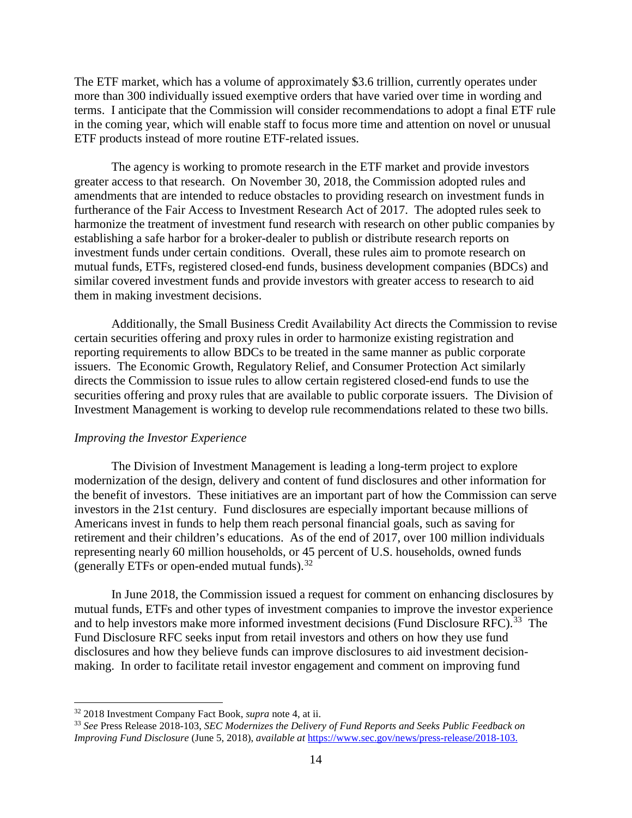The ETF market, which has a volume of approximately \$3.6 trillion, currently operates under more than 300 individually issued exemptive orders that have varied over time in wording and terms. I anticipate that the Commission will consider recommendations to adopt a final ETF rule in the coming year, which will enable staff to focus more time and attention on novel or unusual ETF products instead of more routine ETF-related issues.

The agency is working to promote research in the ETF market and provide investors greater access to that research. On November 30, 2018, the Commission adopted rules and amendments that are intended to reduce obstacles to providing research on investment funds in furtherance of the Fair Access to Investment Research Act of 2017. The adopted rules seek to harmonize the treatment of investment fund research with research on other public companies by establishing a safe harbor for a broker-dealer to publish or distribute research reports on investment funds under certain conditions. Overall, these rules aim to promote research on mutual funds, ETFs, registered closed-end funds, business development companies (BDCs) and similar covered investment funds and provide investors with greater access to research to aid them in making investment decisions.

Additionally, the Small Business Credit Availability Act directs the Commission to revise certain securities offering and proxy rules in order to harmonize existing registration and reporting requirements to allow BDCs to be treated in the same manner as public corporate issuers. The Economic Growth, Regulatory Relief, and Consumer Protection Act similarly directs the Commission to issue rules to allow certain registered closed-end funds to use the securities offering and proxy rules that are available to public corporate issuers. The Division of Investment Management is working to develop rule recommendations related to these two bills.

#### *Improving the Investor Experience*

The Division of Investment Management is leading a long-term project to explore modernization of the design, delivery and content of fund disclosures and other information for the benefit of investors. These initiatives are an important part of how the Commission can serve investors in the 21st century. Fund disclosures are especially important because millions of Americans invest in funds to help them reach personal financial goals, such as saving for retirement and their children's educations. As of the end of 2017, over 100 million individuals representing nearly 60 million households, or 45 percent of U.S. households, owned funds (generally ETFs or open-ended mutual funds).<sup>[32](#page-13-0)</sup>

In June 2018, the Commission issued a request for comment on enhancing disclosures by mutual funds, ETFs and other types of investment companies to improve the investor experience and to help investors make more informed investment decisions (Fund Disclosure RFC).<sup>33</sup> The Fund Disclosure RFC seeks input from retail investors and others on how they use fund disclosures and how they believe funds can improve disclosures to aid investment decisionmaking. In order to facilitate retail investor engagement and comment on improving fund

<span id="page-13-0"></span><sup>32</sup> 2018 Investment Company Fact Book, *supra* note 4, at ii.

<span id="page-13-1"></span><sup>33</sup> *See* Press Release 2018-103, *SEC Modernizes the Delivery of Fund Reports and Seeks Public Feedback on Improving Fund Disclosure* (June 5, 2018), *available at* [https://www.sec.gov/news/press-release/2018-103.](https://www.sec.gov/news/press-release/2018-103)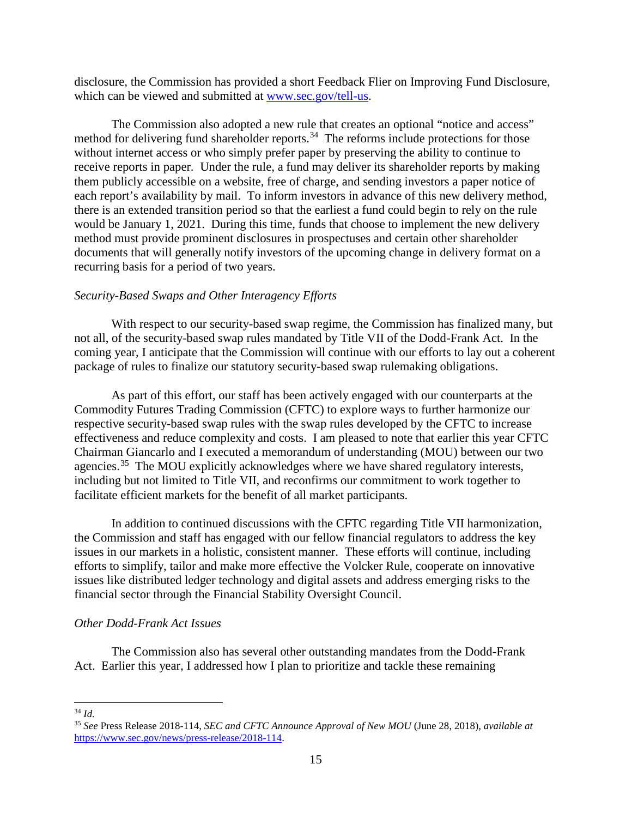disclosure, the Commission has provided a short Feedback Flier on Improving Fund Disclosure, which can be viewed and submitted at [www.sec.gov/tell-us.](http://www.sec.gov/tell-us)

The Commission also adopted a new rule that creates an optional "notice and access" method for delivering fund shareholder reports.<sup>[34](#page-14-0)</sup> The reforms include protections for those without internet access or who simply prefer paper by preserving the ability to continue to receive reports in paper. Under the rule, a fund may deliver its shareholder reports by making them publicly accessible on a website, free of charge, and sending investors a paper notice of each report's availability by mail. To inform investors in advance of this new delivery method, there is an extended transition period so that the earliest a fund could begin to rely on the rule would be January 1, 2021. During this time, funds that choose to implement the new delivery method must provide prominent disclosures in prospectuses and certain other shareholder documents that will generally notify investors of the upcoming change in delivery format on a recurring basis for a period of two years.

#### *Security-Based Swaps and Other Interagency Efforts*

With respect to our security-based swap regime, the Commission has finalized many, but not all, of the security-based swap rules mandated by Title VII of the Dodd-Frank Act. In the coming year, I anticipate that the Commission will continue with our efforts to lay out a coherent package of rules to finalize our statutory security-based swap rulemaking obligations.

As part of this effort, our staff has been actively engaged with our counterparts at the Commodity Futures Trading Commission (CFTC) to explore ways to further harmonize our respective security-based swap rules with the swap rules developed by the CFTC to increase effectiveness and reduce complexity and costs. I am pleased to note that earlier this year CFTC Chairman Giancarlo and I executed a memorandum of understanding (MOU) between our two agencies.<sup>[35](#page-14-1)</sup> The MOU explicitly acknowledges where we have shared regulatory interests, including but not limited to Title VII, and reconfirms our commitment to work together to facilitate efficient markets for the benefit of all market participants.

In addition to continued discussions with the CFTC regarding Title VII harmonization, the Commission and staff has engaged with our fellow financial regulators to address the key issues in our markets in a holistic, consistent manner. These efforts will continue, including efforts to simplify, tailor and make more effective the Volcker Rule, cooperate on innovative issues like distributed ledger technology and digital assets and address emerging risks to the financial sector through the Financial Stability Oversight Council.

#### *Other Dodd-Frank Act Issues*

The Commission also has several other outstanding mandates from the Dodd-Frank Act. Earlier this year, I addressed how I plan to prioritize and tackle these remaining

<span id="page-14-0"></span><sup>34</sup> *Id.*

<span id="page-14-1"></span><sup>35</sup> *See* Press Release 2018-114, *SEC and CFTC Announce Approval of New MOU* (June 28, 2018), *available at*  [https://www.sec.gov/news/press-release/2018-114.](https://www.sec.gov/news/press-release/2018-114)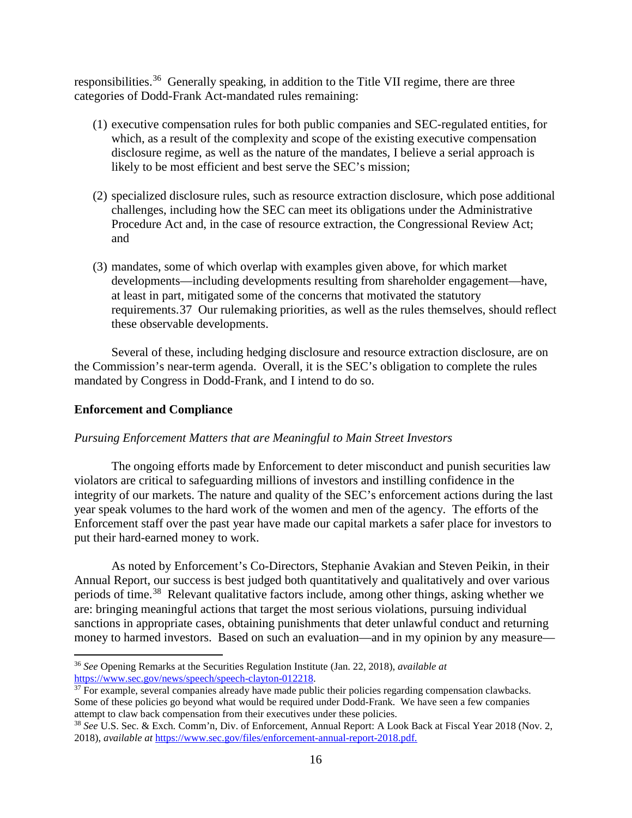responsibilities.<sup>[36](#page-15-0)</sup> Generally speaking, in addition to the Title VII regime, there are three categories of Dodd-Frank Act-mandated rules remaining:

- (1) executive compensation rules for both public companies and SEC-regulated entities, for which, as a result of the complexity and scope of the existing executive compensation disclosure regime, as well as the nature of the mandates, I believe a serial approach is likely to be most efficient and best serve the SEC's mission;
- (2) specialized disclosure rules, such as resource extraction disclosure, which pose additional challenges, including how the SEC can meet its obligations under the Administrative Procedure Act and, in the case of resource extraction, the Congressional Review Act; and
- (3) mandates, some of which overlap with examples given above, for which market developments—including developments resulting from shareholder engagement—have, at least in part, mitigated some of the concerns that motivated the statutory requirements.[37](#page-15-1) Our rulemaking priorities, as well as the rules themselves, should reflect these observable developments.

Several of these, including hedging disclosure and resource extraction disclosure, are on the Commission's near-term agenda. Overall, it is the SEC's obligation to complete the rules mandated by Congress in Dodd-Frank, and I intend to do so.

# **Enforcement and Compliance**

l

#### *Pursuing Enforcement Matters that are Meaningful to Main Street Investors*

The ongoing efforts made by Enforcement to deter misconduct and punish securities law violators are critical to safeguarding millions of investors and instilling confidence in the integrity of our markets. The nature and quality of the SEC's enforcement actions during the last year speak volumes to the hard work of the women and men of the agency. The efforts of the Enforcement staff over the past year have made our capital markets a safer place for investors to put their hard-earned money to work.

As noted by Enforcement's Co-Directors, Stephanie Avakian and Steven Peikin, in their Annual Report, our success is best judged both quantitatively and qualitatively and over various periods of time.[38](#page-15-2) Relevant qualitative factors include, among other things, asking whether we are: bringing meaningful actions that target the most serious violations, pursuing individual sanctions in appropriate cases, obtaining punishments that deter unlawful conduct and returning money to harmed investors. Based on such an evaluation—and in my opinion by any measure—

<span id="page-15-0"></span><sup>36</sup> *See* Opening Remarks at the Securities Regulation Institute (Jan. 22, 2018), *available at* 

<span id="page-15-1"></span> $37$  For example, several companies already have made public their policies regarding compensation clawbacks. Some of these policies go beyond what would be required under Dodd-Frank. We have seen a few companies attempt to claw back compensation from their executives under these policies.

<span id="page-15-2"></span><sup>38</sup> *See* U.S. Sec. & Exch. Comm'n, Div. of Enforcement, Annual Report: A Look Back at Fiscal Year 2018 (Nov. 2, 2018), *available at* [https://www.sec.gov/files/enforcement-annual-report-2018.pdf.](https://www.sec.gov/files/enforcement-annual-report-2018.pdf)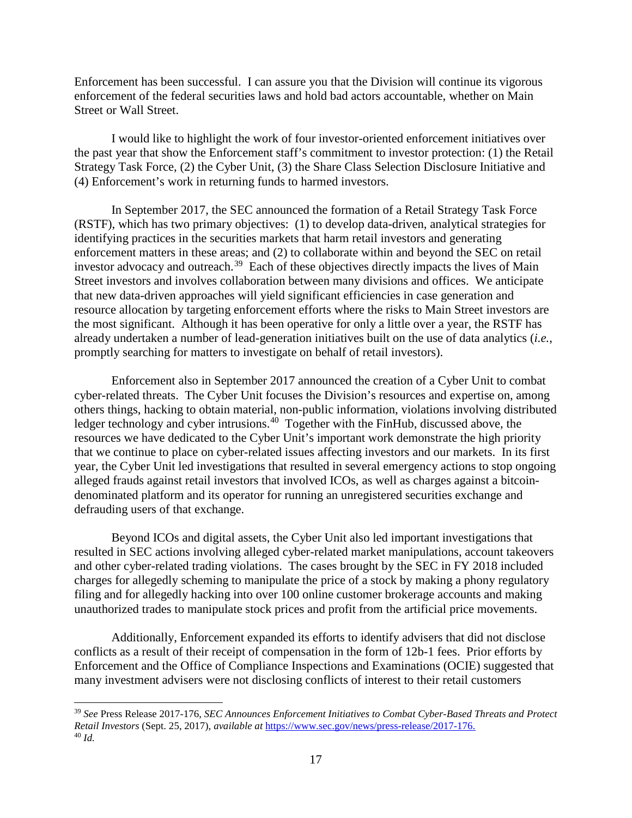Enforcement has been successful. I can assure you that the Division will continue its vigorous enforcement of the federal securities laws and hold bad actors accountable, whether on Main Street or Wall Street.

I would like to highlight the work of four investor-oriented enforcement initiatives over the past year that show the Enforcement staff's commitment to investor protection: (1) the Retail Strategy Task Force, (2) the Cyber Unit, (3) the Share Class Selection Disclosure Initiative and (4) Enforcement's work in returning funds to harmed investors.

In September 2017, the SEC announced the formation of a Retail Strategy Task Force (RSTF), which has two primary objectives: (1) to develop data-driven, analytical strategies for identifying practices in the securities markets that harm retail investors and generating enforcement matters in these areas; and (2) to collaborate within and beyond the SEC on retail investor advocacy and outreach.<sup>[39](#page-16-0)</sup> Each of these objectives directly impacts the lives of Main Street investors and involves collaboration between many divisions and offices. We anticipate that new data-driven approaches will yield significant efficiencies in case generation and resource allocation by targeting enforcement efforts where the risks to Main Street investors are the most significant. Although it has been operative for only a little over a year, the RSTF has already undertaken a number of lead-generation initiatives built on the use of data analytics (*i.e.*, promptly searching for matters to investigate on behalf of retail investors).

Enforcement also in September 2017 announced the creation of a Cyber Unit to combat cyber-related threats. The Cyber Unit focuses the Division's resources and expertise on, among others things, hacking to obtain material, non-public information, violations involving distributed ledger technology and cyber intrusions.<sup>[40](#page-16-1)</sup> Together with the FinHub, discussed above, the resources we have dedicated to the Cyber Unit's important work demonstrate the high priority that we continue to place on cyber-related issues affecting investors and our markets. In its first year, the Cyber Unit led investigations that resulted in several emergency actions to stop ongoing alleged frauds against retail investors that involved ICOs, as well as charges against a bitcoindenominated platform and its operator for running an unregistered securities exchange and defrauding users of that exchange.

Beyond ICOs and digital assets, the Cyber Unit also led important investigations that resulted in SEC actions involving alleged cyber-related market manipulations, account takeovers and other cyber-related trading violations. The cases brought by the SEC in FY 2018 included charges for allegedly scheming to manipulate the price of a stock by making a phony regulatory filing and for allegedly hacking into over 100 online customer brokerage accounts and making unauthorized trades to manipulate stock prices and profit from the artificial price movements.

Additionally, Enforcement expanded its efforts to identify advisers that did not disclose conflicts as a result of their receipt of compensation in the form of 12b-1 fees. Prior efforts by Enforcement and the Office of Compliance Inspections and Examinations (OCIE) suggested that many investment advisers were not disclosing conflicts of interest to their retail customers

<span id="page-16-1"></span><span id="page-16-0"></span><sup>39</sup> *See* Press Release 2017-176, *SEC Announces Enforcement Initiatives to Combat Cyber-Based Threats and Protect Retail Investors* (Sept. 25, 2017), *available at* [https://www.sec.gov/news/press-release/2017-176.](https://www.sec.gov/news/press-release/2017-176) 40 *Id.*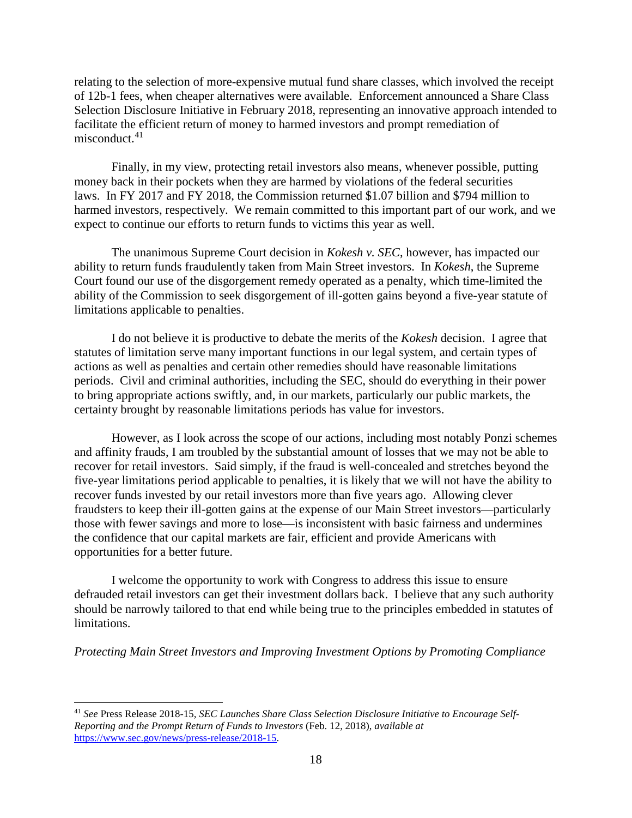relating to the selection of more-expensive mutual fund share classes, which involved the receipt of 12b-1 fees, when cheaper alternatives were available. Enforcement announced a Share Class Selection Disclosure Initiative in February 2018, representing an innovative approach intended to facilitate the efficient return of money to harmed investors and prompt remediation of misconduct. $41$ 

Finally, in my view, protecting retail investors also means, whenever possible, putting money back in their pockets when they are harmed by violations of the federal securities laws. In FY 2017 and FY 2018, the Commission returned \$1.07 billion and \$794 million to harmed investors, respectively. We remain committed to this important part of our work, and we expect to continue our efforts to return funds to victims this year as well.

The unanimous Supreme Court decision in *Kokesh v. SEC*, however, has impacted our ability to return funds fraudulently taken from Main Street investors. In *Kokesh*, the Supreme Court found our use of the disgorgement remedy operated as a penalty, which time-limited the ability of the Commission to seek disgorgement of ill-gotten gains beyond a five-year statute of limitations applicable to penalties.

I do not believe it is productive to debate the merits of the *Kokesh* decision. I agree that statutes of limitation serve many important functions in our legal system, and certain types of actions as well as penalties and certain other remedies should have reasonable limitations periods. Civil and criminal authorities, including the SEC, should do everything in their power to bring appropriate actions swiftly, and, in our markets, particularly our public markets, the certainty brought by reasonable limitations periods has value for investors.

However, as I look across the scope of our actions, including most notably Ponzi schemes and affinity frauds, I am troubled by the substantial amount of losses that we may not be able to recover for retail investors. Said simply, if the fraud is well-concealed and stretches beyond the five-year limitations period applicable to penalties, it is likely that we will not have the ability to recover funds invested by our retail investors more than five years ago. Allowing clever fraudsters to keep their ill-gotten gains at the expense of our Main Street investors—particularly those with fewer savings and more to lose—is inconsistent with basic fairness and undermines the confidence that our capital markets are fair, efficient and provide Americans with opportunities for a better future.

I welcome the opportunity to work with Congress to address this issue to ensure defrauded retail investors can get their investment dollars back. I believe that any such authority should be narrowly tailored to that end while being true to the principles embedded in statutes of limitations.

*Protecting Main Street Investors and Improving Investment Options by Promoting Compliance*

<span id="page-17-0"></span><sup>41</sup> *See* Press Release 2018-15, *SEC Launches Share Class Selection Disclosure Initiative to Encourage Self-Reporting and the Prompt Return of Funds to Investors* (Feb. 12, 2018), *available at* [https://www.sec.gov/news/press-release/2018-15.](https://www.sec.gov/news/press-release/2018-15)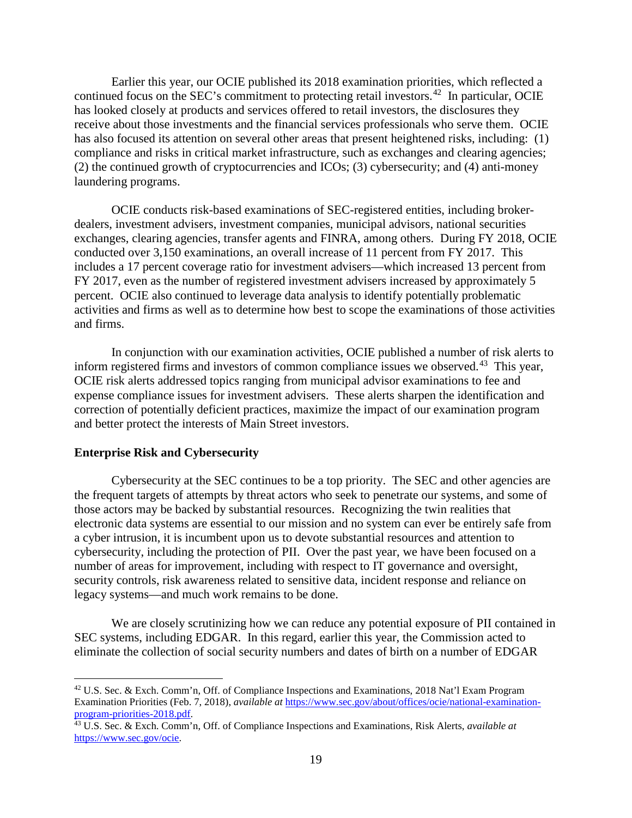Earlier this year, our OCIE published its 2018 examination priorities, which reflected a continued focus on the SEC's commitment to protecting retail investors.<sup>[42](#page-18-0)</sup> In particular, OCIE has looked closely at products and services offered to retail investors, the disclosures they receive about those investments and the financial services professionals who serve them. OCIE has also focused its attention on several other areas that present heightened risks, including: (1) compliance and risks in critical market infrastructure, such as exchanges and clearing agencies; (2) the continued growth of cryptocurrencies and ICOs; (3) cybersecurity; and (4) anti-money laundering programs.

OCIE conducts risk-based examinations of SEC-registered entities, including brokerdealers, investment advisers, investment companies, municipal advisors, national securities exchanges, clearing agencies, transfer agents and FINRA, among others. During FY 2018, OCIE conducted over 3,150 examinations, an overall increase of 11 percent from FY 2017. This includes a 17 percent coverage ratio for investment advisers—which increased 13 percent from FY 2017, even as the number of registered investment advisers increased by approximately 5 percent. OCIE also continued to leverage data analysis to identify potentially problematic activities and firms as well as to determine how best to scope the examinations of those activities and firms.

In conjunction with our examination activities, OCIE published a number of risk alerts to inform registered firms and investors of common compliance issues we observed.[43](#page-18-1) This year, OCIE risk alerts addressed topics ranging from municipal advisor examinations to fee and expense compliance issues for investment advisers. These alerts sharpen the identification and correction of potentially deficient practices, maximize the impact of our examination program and better protect the interests of Main Street investors.

#### **Enterprise Risk and Cybersecurity**

 $\overline{\phantom{a}}$ 

Cybersecurity at the SEC continues to be a top priority. The SEC and other agencies are the frequent targets of attempts by threat actors who seek to penetrate our systems, and some of those actors may be backed by substantial resources. Recognizing the twin realities that electronic data systems are essential to our mission and no system can ever be entirely safe from a cyber intrusion, it is incumbent upon us to devote substantial resources and attention to cybersecurity, including the protection of PII. Over the past year, we have been focused on a number of areas for improvement, including with respect to IT governance and oversight, security controls, risk awareness related to sensitive data, incident response and reliance on legacy systems—and much work remains to be done.

We are closely scrutinizing how we can reduce any potential exposure of PII contained in SEC systems, including EDGAR. In this regard, earlier this year, the Commission acted to eliminate the collection of social security numbers and dates of birth on a number of EDGAR

<span id="page-18-0"></span><sup>42</sup> U.S. Sec. & Exch. Comm'n, Off. of Compliance Inspections and Examinations, 2018 Nat'l Exam Program Examination Priorities (Feb. 7, 2018), *available at* [https://www.sec.gov/about/offices/ocie/national-examination](https://www.sec.gov/about/offices/ocie/national-examination-program-priorities-2018.pdf)[program-priorities-2018.pdf.](https://www.sec.gov/about/offices/ocie/national-examination-program-priorities-2018.pdf)

<span id="page-18-1"></span><sup>43</sup> U.S. Sec. & Exch. Comm'n, Off. of Compliance Inspections and Examinations, Risk Alerts, *available at* [https://www.sec.gov/ocie.](https://www.sec.gov/ocie)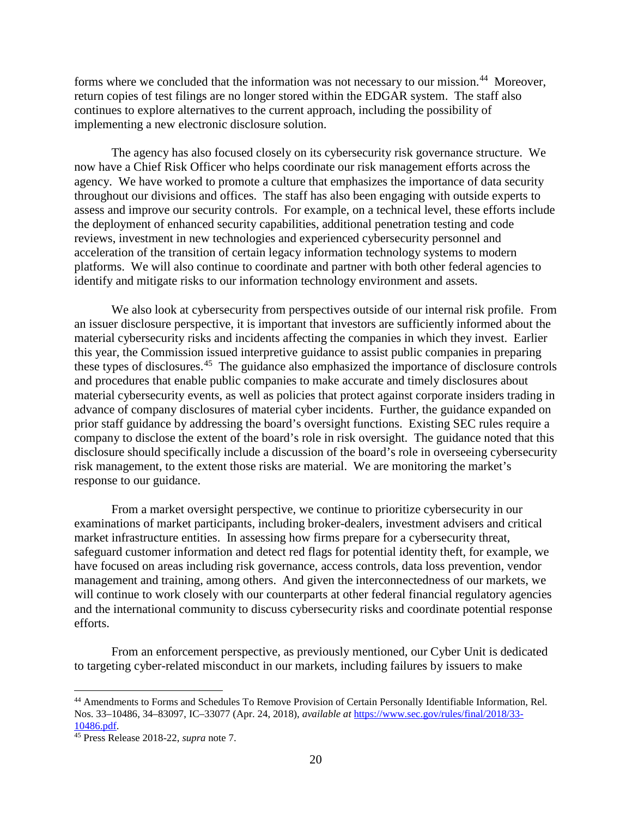forms where we concluded that the information was not necessary to our mission.<sup>[44](#page-19-0)</sup> Moreover, return copies of test filings are no longer stored within the EDGAR system. The staff also continues to explore alternatives to the current approach, including the possibility of implementing a new electronic disclosure solution.

The agency has also focused closely on its cybersecurity risk governance structure. We now have a Chief Risk Officer who helps coordinate our risk management efforts across the agency. We have worked to promote a culture that emphasizes the importance of data security throughout our divisions and offices. The staff has also been engaging with outside experts to assess and improve our security controls. For example, on a technical level, these efforts include the deployment of enhanced security capabilities, additional penetration testing and code reviews, investment in new technologies and experienced cybersecurity personnel and acceleration of the transition of certain legacy information technology systems to modern platforms. We will also continue to coordinate and partner with both other federal agencies to identify and mitigate risks to our information technology environment and assets.

We also look at cybersecurity from perspectives outside of our internal risk profile. From an issuer disclosure perspective, it is important that investors are sufficiently informed about the material cybersecurity risks and incidents affecting the companies in which they invest. Earlier this year, the Commission issued interpretive guidance to assist public companies in preparing these types of disclosures.[45](#page-19-1) The guidance also emphasized the importance of disclosure controls and procedures that enable public companies to make accurate and timely disclosures about material cybersecurity events, as well as policies that protect against corporate insiders trading in advance of company disclosures of material cyber incidents. Further, the guidance expanded on prior staff guidance by addressing the board's oversight functions. Existing SEC rules require a company to disclose the extent of the board's role in risk oversight. The guidance noted that this disclosure should specifically include a discussion of the board's role in overseeing cybersecurity risk management, to the extent those risks are material. We are monitoring the market's response to our guidance.

From a market oversight perspective, we continue to prioritize cybersecurity in our examinations of market participants, including broker-dealers, investment advisers and critical market infrastructure entities. In assessing how firms prepare for a cybersecurity threat, safeguard customer information and detect red flags for potential identity theft, for example, we have focused on areas including risk governance, access controls, data loss prevention, vendor management and training, among others. And given the interconnectedness of our markets, we will continue to work closely with our counterparts at other federal financial regulatory agencies and the international community to discuss cybersecurity risks and coordinate potential response efforts.

From an enforcement perspective, as previously mentioned, our Cyber Unit is dedicated to targeting cyber-related misconduct in our markets, including failures by issuers to make

<span id="page-19-0"></span><sup>44</sup> Amendments to Forms and Schedules To Remove Provision of Certain Personally Identifiable Information, Rel. Nos. 33–10486, 34–83097, IC–33077 (Apr. 24, 2018), *available at* [https://www.sec.gov/rules/final/2018/33-](https://www.sec.gov/rules/final/2018/33-10486.pdf) [10486.pdf.](https://www.sec.gov/rules/final/2018/33-10486.pdf)

<span id="page-19-1"></span><sup>45</sup> Press Release 2018-22, *supra* note 7.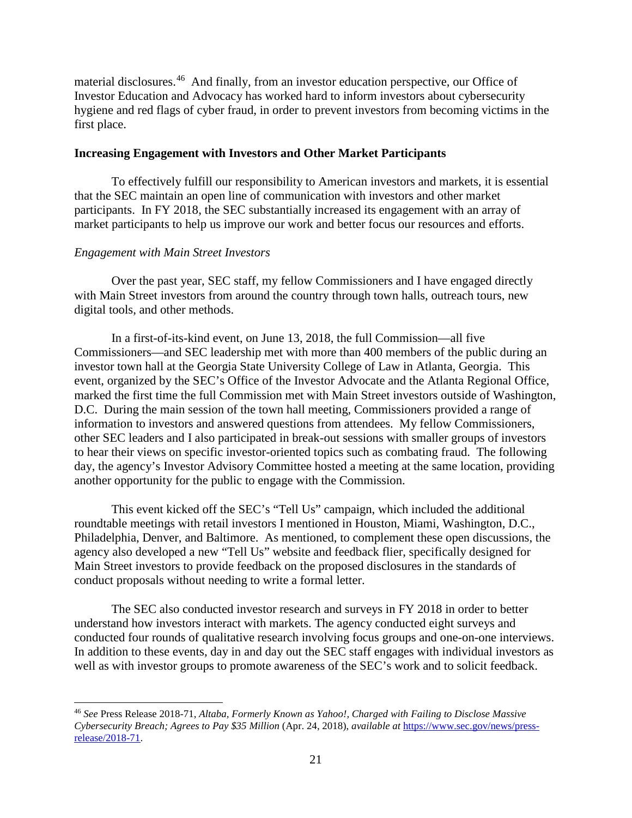material disclosures. [46](#page-20-0) And finally, from an investor education perspective, our Office of Investor Education and Advocacy has worked hard to inform investors about cybersecurity hygiene and red flags of cyber fraud, in order to prevent investors from becoming victims in the first place.

# **Increasing Engagement with Investors and Other Market Participants**

To effectively fulfill our responsibility to American investors and markets, it is essential that the SEC maintain an open line of communication with investors and other market participants. In FY 2018, the SEC substantially increased its engagement with an array of market participants to help us improve our work and better focus our resources and efforts.

# *Engagement with Main Street Investors*

l

Over the past year, SEC staff, my fellow Commissioners and I have engaged directly with Main Street investors from around the country through town halls, outreach tours, new digital tools, and other methods.

In a first-of-its-kind event, on June 13, 2018, the full Commission—all five Commissioners—and SEC leadership met with more than 400 members of the public during an investor town hall at the Georgia State University College of Law in Atlanta, Georgia. This event, organized by the SEC's Office of the Investor Advocate and the Atlanta Regional Office, marked the first time the full Commission met with Main Street investors outside of Washington, D.C. During the main session of the town hall meeting, Commissioners provided a range of information to investors and answered questions from attendees. My fellow Commissioners, other SEC leaders and I also participated in break-out sessions with smaller groups of investors to hear their views on specific investor-oriented topics such as combating fraud. The following day, the agency's Investor Advisory Committee hosted a meeting at the same location, providing another opportunity for the public to engage with the Commission.

This event kicked off the SEC's "Tell Us" campaign, which included the additional roundtable meetings with retail investors I mentioned in Houston, Miami, Washington, D.C., Philadelphia, Denver, and Baltimore. As mentioned, to complement these open discussions, the agency also developed a new "Tell Us" website and feedback flier, specifically designed for Main Street investors to provide feedback on the proposed disclosures in the standards of conduct proposals without needing to write a formal letter.

The SEC also conducted investor research and surveys in FY 2018 in order to better understand how investors interact with markets. The agency conducted eight surveys and conducted four rounds of qualitative research involving focus groups and one-on-one interviews. In addition to these events, day in and day out the SEC staff engages with individual investors as well as with investor groups to promote awareness of the SEC's work and to solicit feedback.

<span id="page-20-0"></span><sup>46</sup> *See* Press Release 2018-71, *Altaba, Formerly Known as Yahoo!, Charged with Failing to Disclose Massive Cybersecurity Breach; Agrees to Pay \$35 Million* (Apr. 24, 2018), *available at* [https://www.sec.gov/news/press](https://www.sec.gov/news/press-release/2018-71)[release/2018-71.](https://www.sec.gov/news/press-release/2018-71)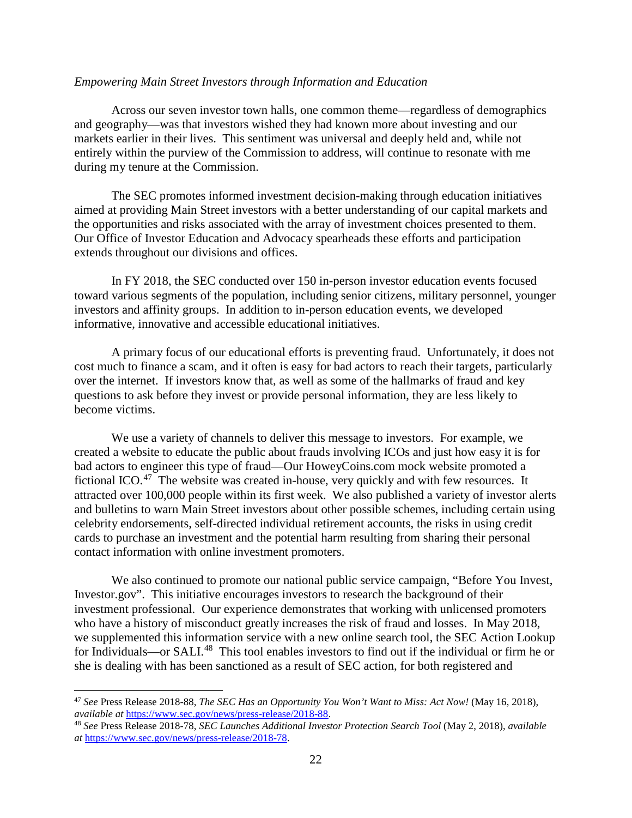#### *Empowering Main Street Investors through Information and Education*

Across our seven investor town halls, one common theme—regardless of demographics and geography—was that investors wished they had known more about investing and our markets earlier in their lives. This sentiment was universal and deeply held and, while not entirely within the purview of the Commission to address, will continue to resonate with me during my tenure at the Commission.

The SEC promotes informed investment decision-making through education initiatives aimed at providing Main Street investors with a better understanding of our capital markets and the opportunities and risks associated with the array of investment choices presented to them. Our Office of Investor Education and Advocacy spearheads these efforts and participation extends throughout our divisions and offices.

In FY 2018, the SEC conducted over 150 in-person investor education events focused toward various segments of the population, including senior citizens, military personnel, younger investors and affinity groups. In addition to in-person education events, we developed informative, innovative and accessible educational initiatives.

A primary focus of our educational efforts is preventing fraud. Unfortunately, it does not cost much to finance a scam, and it often is easy for bad actors to reach their targets, particularly over the internet. If investors know that, as well as some of the hallmarks of fraud and key questions to ask before they invest or provide personal information, they are less likely to become victims.

We use a variety of channels to deliver this message to investors. For example, we created a website to educate the public about frauds involving ICOs and just how easy it is for bad actors to engineer this type of fraud—Our HoweyCoins.com mock website promoted a fictional ICO.<sup>[47](#page-21-0)</sup> The website was created in-house, very quickly and with few resources. It attracted over 100,000 people within its first week. We also published a variety of investor alerts and bulletins to warn Main Street investors about other possible schemes, including certain using celebrity endorsements, self-directed individual retirement accounts, the risks in using credit cards to purchase an investment and the potential harm resulting from sharing their personal contact information with online investment promoters.

We also continued to promote our national public service campaign, "Before You Invest, Investor.gov". This initiative encourages investors to research the background of their investment professional. Our experience demonstrates that working with unlicensed promoters who have a history of misconduct greatly increases the risk of fraud and losses. In May 2018, we supplemented this information service with a new online search tool, the SEC Action Lookup for Individuals—or SALI.<sup>[48](#page-21-1)</sup> This tool enables investors to find out if the individual or firm he or she is dealing with has been sanctioned as a result of SEC action, for both registered and

<span id="page-21-0"></span><sup>47</sup> *See* Press Release 2018-88, *The SEC Has an Opportunity You Won't Want to Miss: Act Now!* (May 16, 2018),

<span id="page-21-1"></span><sup>&</sup>lt;sup>48</sup> See Press Release 2018-78, SEC Launches Additional Investor Protection Search Tool (May 2, 2018), available *at* [https://www.sec.gov/news/press-release/2018-78.](https://www.sec.gov/news/press-release/2018-78)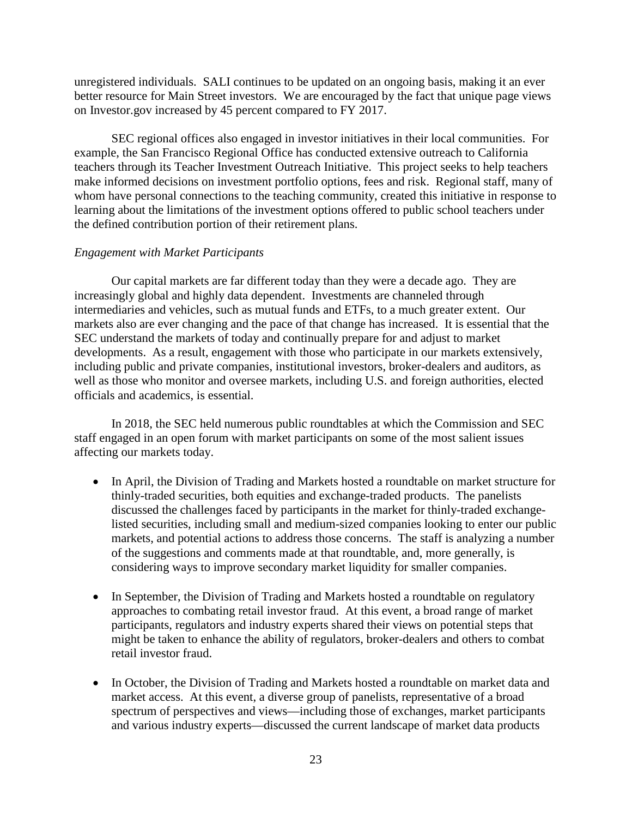unregistered individuals. SALI continues to be updated on an ongoing basis, making it an ever better resource for Main Street investors. We are encouraged by the fact that unique page views on Investor.gov increased by 45 percent compared to FY 2017.

SEC regional offices also engaged in investor initiatives in their local communities. For example, the San Francisco Regional Office has conducted extensive outreach to California teachers through its Teacher Investment Outreach Initiative. This project seeks to help teachers make informed decisions on investment portfolio options, fees and risk. Regional staff, many of whom have personal connections to the teaching community, created this initiative in response to learning about the limitations of the investment options offered to public school teachers under the defined contribution portion of their retirement plans.

## *Engagement with Market Participants*

Our capital markets are far different today than they were a decade ago. They are increasingly global and highly data dependent. Investments are channeled through intermediaries and vehicles, such as mutual funds and ETFs, to a much greater extent. Our markets also are ever changing and the pace of that change has increased. It is essential that the SEC understand the markets of today and continually prepare for and adjust to market developments. As a result, engagement with those who participate in our markets extensively, including public and private companies, institutional investors, broker-dealers and auditors, as well as those who monitor and oversee markets, including U.S. and foreign authorities, elected officials and academics, is essential.

In 2018, the SEC held numerous public roundtables at which the Commission and SEC staff engaged in an open forum with market participants on some of the most salient issues affecting our markets today.

- In April, the Division of Trading and Markets hosted a roundtable on market structure for thinly-traded securities, both equities and exchange-traded products. The panelists discussed the challenges faced by participants in the market for thinly-traded exchangelisted securities, including small and medium-sized companies looking to enter our public markets, and potential actions to address those concerns. The staff is analyzing a number of the suggestions and comments made at that roundtable, and, more generally, is considering ways to improve secondary market liquidity for smaller companies.
- In September, the Division of Trading and Markets hosted a roundtable on regulatory approaches to combating retail investor fraud. At this event, a broad range of market participants, regulators and industry experts shared their views on potential steps that might be taken to enhance the ability of regulators, broker-dealers and others to combat retail investor fraud.
- In October, the Division of Trading and Markets hosted a roundtable on market data and market access. At this event, a diverse group of panelists, representative of a broad spectrum of perspectives and views—including those of exchanges, market participants and various industry experts—discussed the current landscape of market data products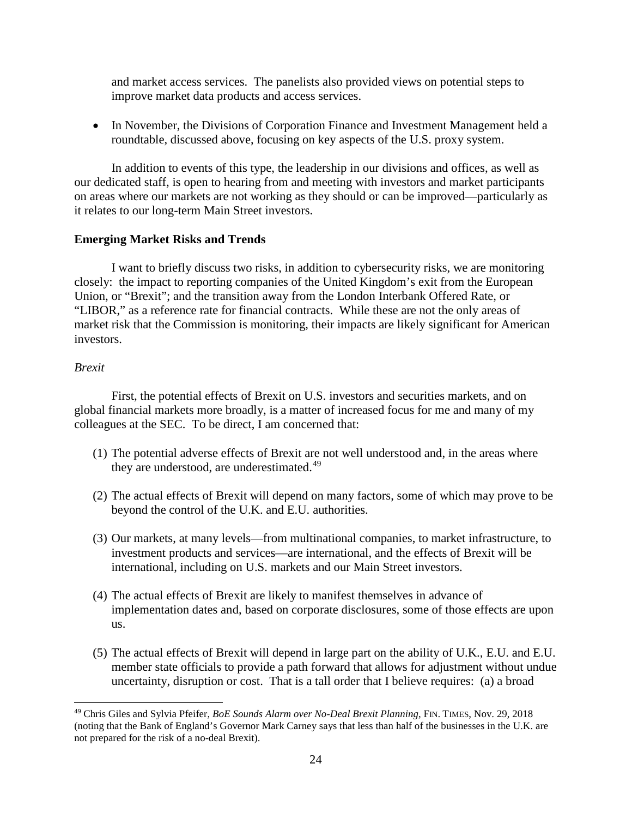and market access services. The panelists also provided views on potential steps to improve market data products and access services.

• In November, the Divisions of Corporation Finance and Investment Management held a roundtable, discussed above, focusing on key aspects of the U.S. proxy system.

In addition to events of this type, the leadership in our divisions and offices, as well as our dedicated staff, is open to hearing from and meeting with investors and market participants on areas where our markets are not working as they should or can be improved—particularly as it relates to our long-term Main Street investors.

# **Emerging Market Risks and Trends**

I want to briefly discuss two risks, in addition to cybersecurity risks, we are monitoring closely: the impact to reporting companies of the United Kingdom's exit from the European Union, or "Brexit"; and the transition away from the London Interbank Offered Rate, or "LIBOR," as a reference rate for financial contracts. While these are not the only areas of market risk that the Commission is monitoring, their impacts are likely significant for American investors.

# *Brexit*

First, the potential effects of Brexit on U.S. investors and securities markets, and on global financial markets more broadly, is a matter of increased focus for me and many of my colleagues at the SEC. To be direct, I am concerned that:

- (1) The potential adverse effects of Brexit are not well understood and, in the areas where they are understood, are underestimated.<sup>[49](#page-23-0)</sup>
- (2) The actual effects of Brexit will depend on many factors, some of which may prove to be beyond the control of the U.K. and E.U. authorities.
- (3) Our markets, at many levels—from multinational companies, to market infrastructure, to investment products and services—are international, and the effects of Brexit will be international, including on U.S. markets and our Main Street investors.
- (4) The actual effects of Brexit are likely to manifest themselves in advance of implementation dates and, based on corporate disclosures, some of those effects are upon us.
- (5) The actual effects of Brexit will depend in large part on the ability of U.K., E.U. and E.U. member state officials to provide a path forward that allows for adjustment without undue uncertainty, disruption or cost. That is a tall order that I believe requires: (a) a broad

<span id="page-23-0"></span>l <sup>49</sup> Chris Giles and Sylvia Pfeifer, *BoE Sounds Alarm over No-Deal Brexit Planning*, FIN. TIMES, Nov. 29, 2018 (noting that the Bank of England's Governor Mark Carney says that less than half of the businesses in the U.K. are not prepared for the risk of a no-deal Brexit).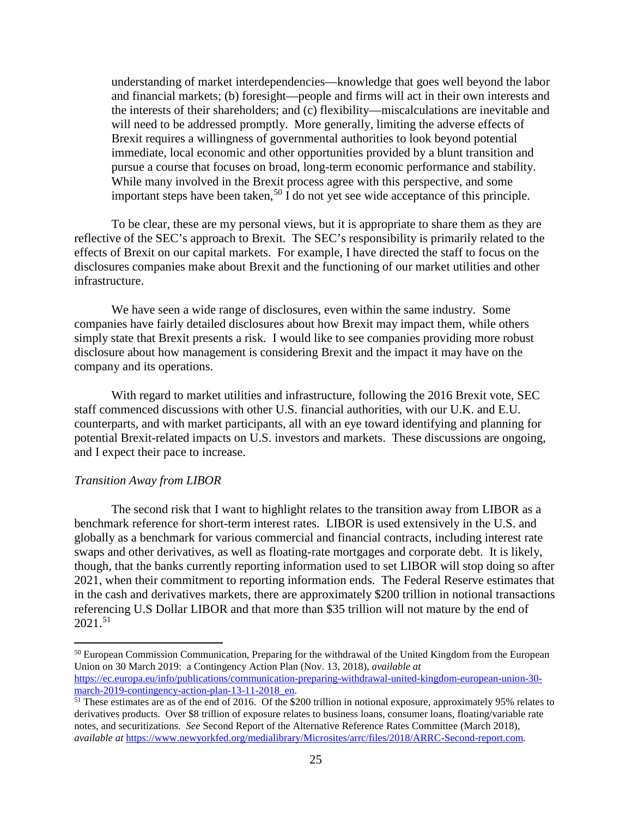understanding of market interdependencies—knowledge that goes well beyond the labor and financial markets; (b) foresight—people and firms will act in their own interests and the interests of their shareholders; and (c) flexibility—miscalculations are inevitable and will need to be addressed promptly. More generally, limiting the adverse effects of Brexit requires a willingness of governmental authorities to look beyond potential immediate, local economic and other opportunities provided by a blunt transition and pursue a course that focuses on broad, long-term economic performance and stability. While many involved in the Brexit process agree with this perspective, and some important steps have been taken,<sup>[50](#page-24-0)</sup> I do not yet see wide acceptance of this principle.

To be clear, these are my personal views, but it is appropriate to share them as they are reflective of the SEC's approach to Brexit. The SEC's responsibility is primarily related to the effects of Brexit on our capital markets. For example, I have directed the staff to focus on the disclosures companies make about Brexit and the functioning of our market utilities and other infrastructure.

We have seen a wide range of disclosures, even within the same industry. Some companies have fairly detailed disclosures about how Brexit may impact them, while others simply state that Brexit presents a risk. I would like to see companies providing more robust disclosure about how management is considering Brexit and the impact it may have on the company and its operations.

With regard to market utilities and infrastructure, following the 2016 Brexit vote, SEC staff commenced discussions with other U.S. financial authorities, with our U.K. and E.U. counterparts, and with market participants, all with an eye toward identifying and planning for potential Brexit-related impacts on U.S. investors and markets. These discussions are ongoing, and I expect their pace to increase.

#### *Transition Away from LIBOR*

l

The second risk that I want to highlight relates to the transition away from LIBOR as a benchmark reference for short-term interest rates. LIBOR is used extensively in the U.S. and globally as a benchmark for various commercial and financial contracts, including interest rate swaps and other derivatives, as well as floating-rate mortgages and corporate debt. It is likely, though, that the banks currently reporting information used to set LIBOR will stop doing so after 2021, when their commitment to reporting information ends. The Federal Reserve estimates that in the cash and derivatives markets, there are approximately \$200 trillion in notional transactions referencing U.S Dollar LIBOR and that more than \$35 trillion will not mature by the end of  $2021^{51}$ 

<span id="page-24-0"></span><sup>&</sup>lt;sup>50</sup> European Commission Communication, Preparing for the withdrawal of the United Kingdom from the European Union on 30 March 2019: a Contingency Action Plan (Nov. 13, 2018), *available at* [https://ec.europa.eu/info/publications/communication-preparing-withdrawal-united-kingdom-european-union-30-](https://ec.europa.eu/info/publications/communication-preparing-withdrawal-united-kingdom-european-union-30-march-2019-contingency-action-plan-13-11-2018_en)<br>march-2019-contingency-action-plan-13-11-2018\_en.

<span id="page-24-1"></span> $<sup>51</sup>$  These estimates are as of the end of 2016. Of the \$200 trillion in notional exposure, approximately 95% relates to</sup> derivatives products. Over \$8 trillion of exposure relates to business loans, consumer loans, floating/variable rate notes, and securitizations. *See* Second Report of the Alternative Reference Rates Committee (March 2018), *available at* [https://www.newyorkfed.org/medialibrary/Microsites/arrc/files/2018/ARRC-Second-report.com.](https://www.newyorkfed.org/medialibrary/Microsites/arrc/files/2018/ARRC-Second-report.com)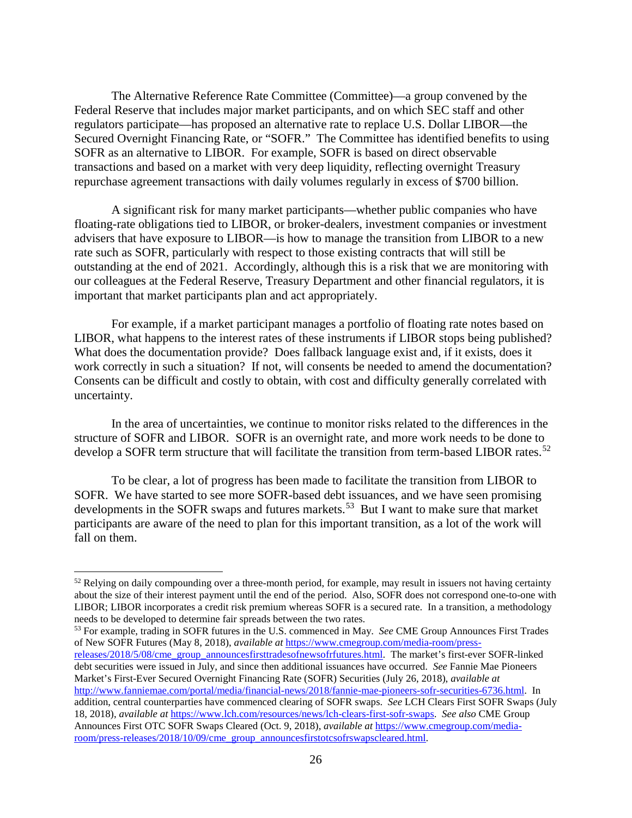The Alternative Reference Rate Committee (Committee)—a group convened by the Federal Reserve that includes major market participants, and on which SEC staff and other regulators participate—has proposed an alternative rate to replace U.S. Dollar LIBOR—the Secured Overnight Financing Rate, or "SOFR." The Committee has identified benefits to using SOFR as an alternative to LIBOR. For example, SOFR is based on direct observable transactions and based on a market with very deep liquidity, reflecting overnight Treasury repurchase agreement transactions with daily volumes regularly in excess of \$700 billion.

A significant risk for many market participants—whether public companies who have floating-rate obligations tied to LIBOR, or broker-dealers, investment companies or investment advisers that have exposure to LIBOR—is how to manage the transition from LIBOR to a new rate such as SOFR, particularly with respect to those existing contracts that will still be outstanding at the end of 2021. Accordingly, although this is a risk that we are monitoring with our colleagues at the Federal Reserve, Treasury Department and other financial regulators, it is important that market participants plan and act appropriately.

For example, if a market participant manages a portfolio of floating rate notes based on LIBOR, what happens to the interest rates of these instruments if LIBOR stops being published? What does the documentation provide? Does fallback language exist and, if it exists, does it work correctly in such a situation? If not, will consents be needed to amend the documentation? Consents can be difficult and costly to obtain, with cost and difficulty generally correlated with uncertainty.

In the area of uncertainties, we continue to monitor risks related to the differences in the structure of SOFR and LIBOR. SOFR is an overnight rate, and more work needs to be done to develop a SOFR term structure that will facilitate the transition from term-based LIBOR rates.<sup>52</sup>

To be clear, a lot of progress has been made to facilitate the transition from LIBOR to SOFR. We have started to see more SOFR-based debt issuances, and we have seen promising developments in the SOFR swaps and futures markets.<sup>[53](#page-25-1)</sup> But I want to make sure that market participants are aware of the need to plan for this important transition, as a lot of the work will fall on them.

l

<span id="page-25-1"></span><sup>53</sup> For example, trading in SOFR futures in the U.S. commenced in May. *See* CME Group Announces First Trades of New SOFR Futures (May 8, 2018), *available at* [https://www.cmegroup.com/media-room/press](https://www.cmegroup.com/media-room/press-releases/2018/5/08/cme_group_announcesfirsttradesofnewsofrfutures.html)[releases/2018/5/08/cme\\_group\\_announcesfirsttradesofnewsofrfutures.html.](https://www.cmegroup.com/media-room/press-releases/2018/5/08/cme_group_announcesfirsttradesofnewsofrfutures.html) The market's first-ever SOFR-linked debt securities were issued in July, and since then additional issuances have occurred. *See* Fannie Mae Pioneers Market's First-Ever Secured Overnight Financing Rate (SOFR) Securities (July 26, 2018), *available at* [http://www.fanniemae.com/portal/media/financial-news/2018/fannie-mae-pioneers-sofr-securities-6736.html.](http://www.fanniemae.com/portal/media/financial-news/2018/fannie-mae-pioneers-sofr-securities-6736.html) In addition, central counterparties have commenced clearing of SOFR swaps. *See* LCH Clears First SOFR Swaps (July 18, 2018), *available at* [https://www.lch.com/resources/news/lch-clears-first-sofr-swaps.](https://www.lch.com/resources/news/lch-clears-first-sofr-swaps) *See also* CME Group Announces First OTC SOFR Swaps Cleared (Oct. 9, 2018), *available at* [https://www.cmegroup.com/media](https://www.cmegroup.com/media-room/press-releases/2018/10/09/cme_group_announcesfirstotcsofrswapscleared.html)[room/press-releases/2018/10/09/cme\\_group\\_announcesfirstotcsofrswapscleared.html.](https://www.cmegroup.com/media-room/press-releases/2018/10/09/cme_group_announcesfirstotcsofrswapscleared.html)

<span id="page-25-0"></span> $52$  Relying on daily compounding over a three-month period, for example, may result in issuers not having certainty about the size of their interest payment until the end of the period. Also, SOFR does not correspond one-to-one with LIBOR; LIBOR incorporates a credit risk premium whereas SOFR is a secured rate. In a transition, a methodology needs to be developed to determine fair spreads between the two rates.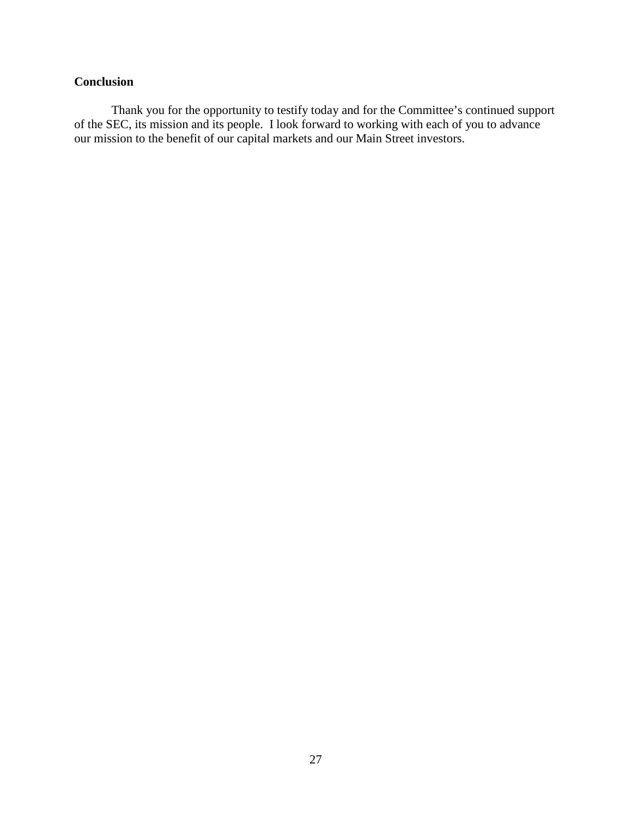# **Conclusion**

Thank you for the opportunity to testify today and for the Committee's continued support of the SEC, its mission and its people. I look forward to working with each of you to advance our mission to the benefit of our capital markets and our Main Street investors.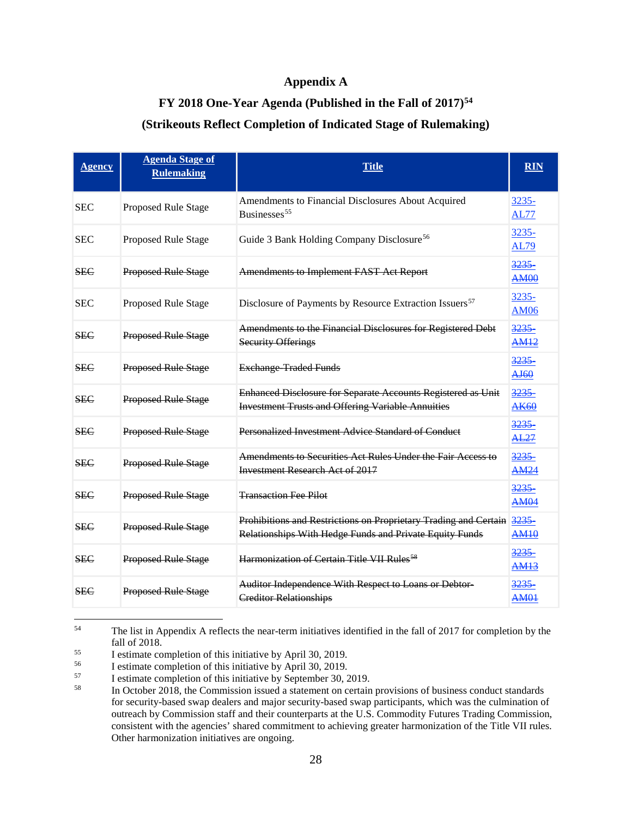## **Appendix A**

# **FY 2018 One-Year Agenda (Published in the Fall of 2017)[54](#page-27-0)**

# **(Strikeouts Reflect Completion of Indicated Stage of Rulemaking)**

| <b>Agency</b> | <b>Agenda Stage of</b><br><b>Rulemaking</b> | <b>Title</b>                                                                                                                     | <b>RIN</b>                  |
|---------------|---------------------------------------------|----------------------------------------------------------------------------------------------------------------------------------|-----------------------------|
| <b>SEC</b>    | Proposed Rule Stage                         | Amendments to Financial Disclosures About Acquired<br>Businesses <sup>55</sup>                                                   | 3235-<br><b>AL77</b>        |
| <b>SEC</b>    | Proposed Rule Stage                         | Guide 3 Bank Holding Company Disclosure <sup>56</sup>                                                                            | $3235 -$<br><b>AL79</b>     |
| SEC           | Proposed Rule Stage                         | <b>Amendments to Implement FAST Act Report</b>                                                                                   | 3235<br><b>AM00</b>         |
| <b>SEC</b>    | Proposed Rule Stage                         | Disclosure of Payments by Resource Extraction Issuers <sup>57</sup>                                                              | 3235-<br><b>AM06</b>        |
| <b>SEC</b>    | <b>Proposed Rule Stage</b>                  | Amendments to the Financial Disclosures for Registered Debt<br><b>Security Offerings</b>                                         | 3235<br><b>AM12</b>         |
| <b>SEC</b>    | Proposed Rule Stage                         | <b>Exchange Traded Funds</b>                                                                                                     | 3235<br>AJ60                |
| <b>SEC</b>    | <b>Proposed Rule Stage</b>                  | Enhanced Disclosure for Separate Accounts Registered as Unit<br><b>Investment Trusts and Offering Variable Annuities</b>         | 3235<br><b>AK60</b>         |
| <b>SEC</b>    | <b>Proposed Rule Stage</b>                  | Personalized Investment Advice Standard of Conduct                                                                               | <u>3235</u><br><b>AL27</b>  |
| <b>SEC</b>    | <b>Proposed Rule Stage</b>                  | Amendments to Securities Act Rules Under the Fair Access to<br><b>Investment Research Act of 2017</b>                            | 3235<br><b>AM24</b>         |
| <b>SEC</b>    | Proposed Rule Stage                         | <b>Transaction Fee Pilot</b>                                                                                                     | <u>3235–</u><br><b>AM04</b> |
| <b>SEC</b>    | <b>Proposed Rule Stage</b>                  | Prohibitions and Restrictions on Proprietary Trading and Certain 3235<br>Relationships With Hedge Funds and Private Equity Funds | <b>AM10</b>                 |
| <b>SEC</b>    | <b>Proposed Rule Stage</b>                  | Harmonization of Certain Title VII Rules <sup>58</sup>                                                                           | <u>3235</u><br><b>AM13</b>  |
| <b>SEC</b>    | <b>Proposed Rule Stage</b>                  | Auditor Independence With Respect to Loans or Debtor-<br><b>Creditor Relationships</b>                                           | <u>3235–</u><br><b>AM01</b> |

<span id="page-27-0"></span><sup>&</sup>lt;sup>54</sup> The list in Appendix A reflects the near-term initiatives identified in the fall of 2017 for completion by the fall of 2018.<br>
I estimate completion of this initiative by April 30, 2019.<br>
I estimate completion of this initiative by April 30, 2019.

<span id="page-27-2"></span><span id="page-27-1"></span><sup>&</sup>lt;sup>56</sup> I estimate completion of this initiative by April 30, 2019.<br><sup>57</sup> I estimate completion of this initiative by September 30

<span id="page-27-4"></span><span id="page-27-3"></span> $57$  I estimate completion of this initiative by September 30, 2019.<br>
In October 2018, the Commission issued a statement on certain

In October 2018, the Commission issued a statement on certain provisions of business conduct standards for security-based swap dealers and major security-based swap participants, which was the culmination of outreach by Commission staff and their counterparts at the U.S. Commodity Futures Trading Commission, consistent with the agencies' shared commitment to achieving greater harmonization of the Title VII rules. Other harmonization initiatives are ongoing.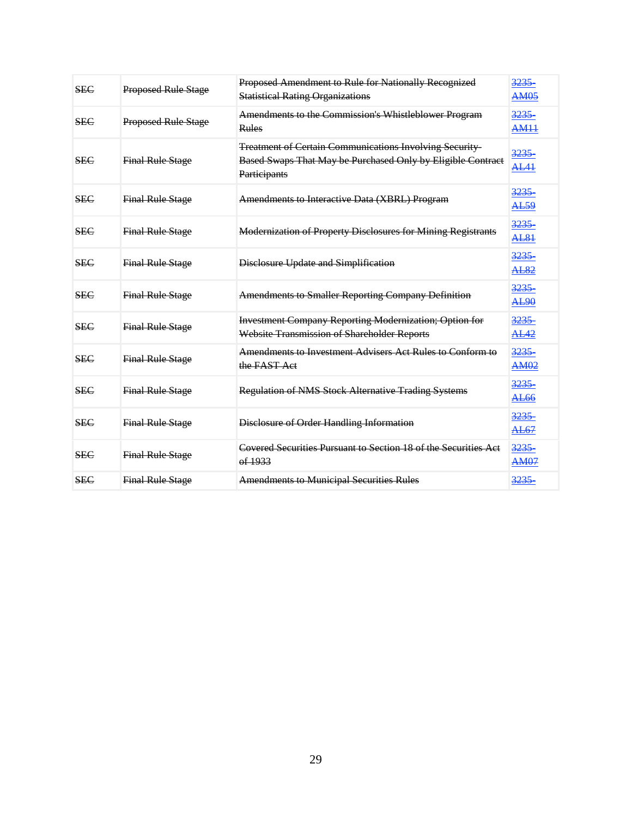| <b>SEC</b> | Proposed Rule Stage        | Proposed Amendment to Rule for Nationally Recognized<br><b>Statistical Rating Organizations</b>                                               | 3235<br><b>AM05</b>           |
|------------|----------------------------|-----------------------------------------------------------------------------------------------------------------------------------------------|-------------------------------|
| <b>SEC</b> | <b>Proposed Rule Stage</b> | Amendments to the Commission's Whistleblower Program<br><b>Rules</b>                                                                          | 3235<br><b>AM11</b>           |
| <b>SEC</b> | <b>Final Rule Stage</b>    | <b>Treatment of Certain Communications Involving Security-</b><br>Based Swaps That May be Purchased Only by Eligible Contract<br>Participants | 3235<br><b>AL41</b>           |
| <b>SEC</b> | <b>Final Rule Stage</b>    | Amendments to Interactive Data (XBRL) Program                                                                                                 | 3235<br><b>AL59</b>           |
| <b>SEC</b> | <b>Final Rule Stage</b>    | <b>Modernization of Property Disclosures for Mining Registrants</b>                                                                           | 3235<br><b>AL81</b>           |
| <b>SEC</b> | <b>Final Rule Stage</b>    | Disclosure Update and Simplification                                                                                                          | 3235<br>AL82                  |
| <b>SEC</b> | <b>Final Rule Stage</b>    | <b>Amendments to Smaller Reporting Company Definition</b>                                                                                     | 3235<br>AL90                  |
| <b>SEC</b> | <b>Final Rule Stage</b>    | <b>Investment Company Reporting Modernization; Option for</b><br>Website Transmission of Shareholder Reports                                  | <u>3235 - </u><br><b>AL42</b> |
| <b>SEC</b> | <b>Final Rule Stage</b>    | Amendments to Investment Advisers Act Rules to Conform to<br>the FAST Act                                                                     | 3235<br><b>AM02</b>           |
| <b>SEC</b> | <b>Final Rule Stage</b>    | <b>Regulation of NMS Stock Alternative Trading Systems</b>                                                                                    | 3235<br>AL66                  |
| <b>SEC</b> | <b>Final Rule Stage</b>    | Disclosure of Order Handling Information                                                                                                      | 3235<br><b>AL67</b>           |
| <b>SEC</b> | <b>Final Rule Stage</b>    | Covered Securities Pursuant to Section 18 of the Securities Act<br>0.1933                                                                     | 3235<br><b>AM07</b>           |
| <b>SEC</b> | <b>Final Rule Stage</b>    | <b>Amendments to Municipal Securities Rules</b>                                                                                               | 3235                          |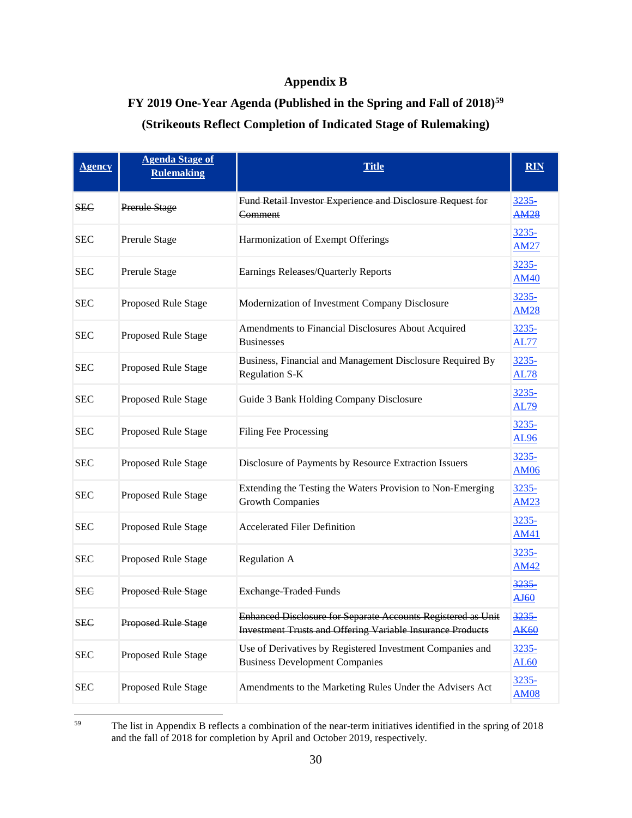# **Appendix B**

# **FY 2019 One-Year Agenda (Published in the Spring and Fall of 2018)[59](#page-29-0) (Strikeouts Reflect Completion of Indicated Stage of Rulemaking)**

| <b>Agency</b> | <b>Agenda Stage of</b><br><b>Rulemaking</b> | <b>Title</b>                                                                                                                      | <b>RIN</b>                  |
|---------------|---------------------------------------------|-----------------------------------------------------------------------------------------------------------------------------------|-----------------------------|
| <b>SEC</b>    | Prerule Stage                               | Fund Retail Investor Experience and Disclosure Request for<br>Comment                                                             | 3235<br><b>AM28</b>         |
| <b>SEC</b>    | Prerule Stage                               | Harmonization of Exempt Offerings                                                                                                 | 3235-<br><b>AM27</b>        |
| <b>SEC</b>    | Prerule Stage                               | Earnings Releases/Quarterly Reports                                                                                               | 3235-<br><b>AM40</b>        |
| <b>SEC</b>    | Proposed Rule Stage                         | Modernization of Investment Company Disclosure                                                                                    | 3235-<br><b>AM28</b>        |
| <b>SEC</b>    | Proposed Rule Stage                         | Amendments to Financial Disclosures About Acquired<br><b>Businesses</b>                                                           | 3235-<br><b>AL77</b>        |
| <b>SEC</b>    | Proposed Rule Stage                         | Business, Financial and Management Disclosure Required By<br><b>Regulation S-K</b>                                                | $3235 -$<br><b>AL78</b>     |
| <b>SEC</b>    | Proposed Rule Stage                         | Guide 3 Bank Holding Company Disclosure                                                                                           | 3235-<br><b>AL79</b>        |
| <b>SEC</b>    | Proposed Rule Stage                         | <b>Filing Fee Processing</b>                                                                                                      | 3235-<br><b>AL96</b>        |
| <b>SEC</b>    | Proposed Rule Stage                         | Disclosure of Payments by Resource Extraction Issuers                                                                             | $3235 -$<br><b>AM06</b>     |
| <b>SEC</b>    | Proposed Rule Stage                         | Extending the Testing the Waters Provision to Non-Emerging<br><b>Growth Companies</b>                                             | $3235 -$<br><b>AM23</b>     |
| <b>SEC</b>    | Proposed Rule Stage                         | <b>Accelerated Filer Definition</b>                                                                                               | 3235-<br><b>AM41</b>        |
| <b>SEC</b>    | Proposed Rule Stage                         | <b>Regulation A</b>                                                                                                               | 3235-<br><b>AM42</b>        |
| <b>SEC</b>    | <b>Proposed Rule Stage</b>                  | <b>Exchange Traded Funds</b>                                                                                                      | 3235<br>AJ60                |
| <b>SEC</b>    | Proposed Rule Stage                         | Enhanced Disclosure for Separate Accounts Registered as Unit<br><b>Investment Trusts and Offering Variable Insurance Products</b> | 3235<br><b>AK60</b>         |
| <b>SEC</b>    | Proposed Rule Stage                         | Use of Derivatives by Registered Investment Companies and<br><b>Business Development Companies</b>                                | <u>3235-</u><br><b>AL60</b> |
| <b>SEC</b>    | Proposed Rule Stage                         | Amendments to the Marketing Rules Under the Advisers Act                                                                          | 3235-<br><b>AM08</b>        |

<span id="page-29-0"></span><sup>59</sup> The list in Appendix B reflects a combination of the near-term initiatives identified in the spring of 2018 and the fall of 2018 for completion by April and October 2019, respectively.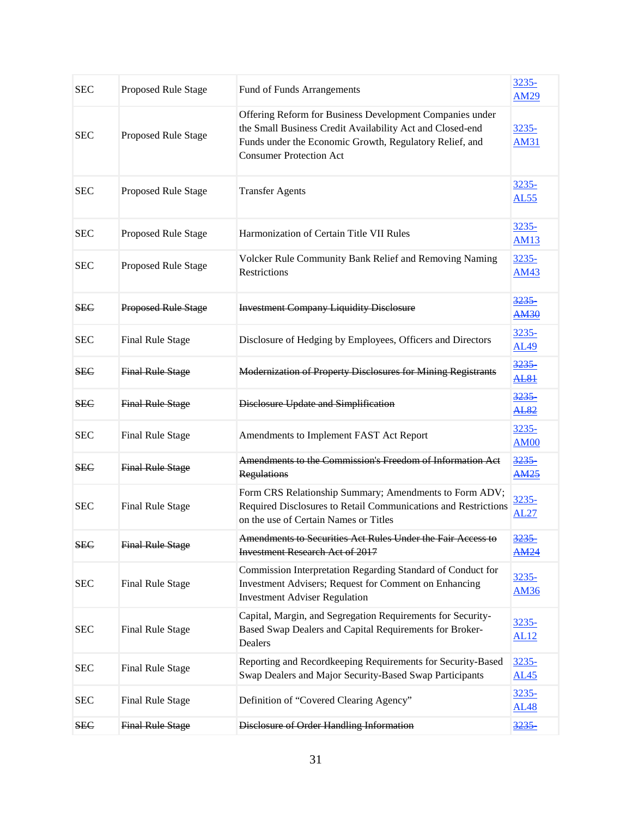| <b>SEC</b> | Proposed Rule Stage        | Fund of Funds Arrangements                                                                                                                                                                                         | 3235-<br><b>AM29</b>        |
|------------|----------------------------|--------------------------------------------------------------------------------------------------------------------------------------------------------------------------------------------------------------------|-----------------------------|
| <b>SEC</b> | Proposed Rule Stage        | Offering Reform for Business Development Companies under<br>the Small Business Credit Availability Act and Closed-end<br>Funds under the Economic Growth, Regulatory Relief, and<br><b>Consumer Protection Act</b> | $3235 -$<br><b>AM31</b>     |
| <b>SEC</b> | Proposed Rule Stage        | <b>Transfer Agents</b>                                                                                                                                                                                             | $3235 -$<br><b>AL55</b>     |
| <b>SEC</b> | Proposed Rule Stage        | Harmonization of Certain Title VII Rules                                                                                                                                                                           | <u>3235-</u><br><b>AM13</b> |
| <b>SEC</b> | Proposed Rule Stage        | Volcker Rule Community Bank Relief and Removing Naming<br>Restrictions                                                                                                                                             | $3235 -$<br><b>AM43</b>     |
| <b>SEC</b> | <b>Proposed Rule Stage</b> | <b>Investment Company Liquidity Disclosure</b>                                                                                                                                                                     | 3235<br><b>AM30</b>         |
| <b>SEC</b> | Final Rule Stage           | Disclosure of Hedging by Employees, Officers and Directors                                                                                                                                                         | 3235-<br><b>AL49</b>        |
| <b>SEC</b> | <b>Final Rule Stage</b>    | <b>Modernization of Property Disclosures for Mining Registrants</b>                                                                                                                                                | 3235<br><b>AL81</b>         |
| <b>SEC</b> | <b>Final Rule Stage</b>    | Disclosure Update and Simplification                                                                                                                                                                               | 3235<br><b>AL82</b>         |
| <b>SEC</b> | Final Rule Stage           | Amendments to Implement FAST Act Report                                                                                                                                                                            | 3235-<br><b>AM00</b>        |
| <b>SEC</b> | <b>Final Rule Stage</b>    | Amendments to the Commission's Freedom of Information Act<br><b>Regulations</b>                                                                                                                                    | 3235<br><u>AM25</u>         |
| <b>SEC</b> | <b>Final Rule Stage</b>    | Form CRS Relationship Summary; Amendments to Form ADV;<br>Required Disclosures to Retail Communications and Restrictions<br>on the use of Certain Names or Titles                                                  | 3235-<br><b>AL27</b>        |
| <b>SEC</b> | <b>Final Rule Stage</b>    | Amendments to Securities Act Rules Under the Fair Access to<br><b>Investment Research Act of 2017</b>                                                                                                              | <u>3235</u><br><b>AM24</b>  |
| <b>SEC</b> | Final Rule Stage           | Commission Interpretation Regarding Standard of Conduct for<br>Investment Advisers; Request for Comment on Enhancing<br><b>Investment Adviser Regulation</b>                                                       | 3235-<br><b>AM36</b>        |
| <b>SEC</b> | Final Rule Stage           | Capital, Margin, and Segregation Requirements for Security-<br>Based Swap Dealers and Capital Requirements for Broker-<br>Dealers                                                                                  | 3235-<br><b>AL12</b>        |
| <b>SEC</b> | Final Rule Stage           | Reporting and Recordkeeping Requirements for Security-Based<br>Swap Dealers and Major Security-Based Swap Participants                                                                                             | 3235-<br><b>AL45</b>        |
| <b>SEC</b> | <b>Final Rule Stage</b>    | Definition of "Covered Clearing Agency"                                                                                                                                                                            | 3235-<br><b>AL48</b>        |
| <b>SEC</b> | <b>Final Rule Stage</b>    | Disclosure of Order Handling Information                                                                                                                                                                           | 3235                        |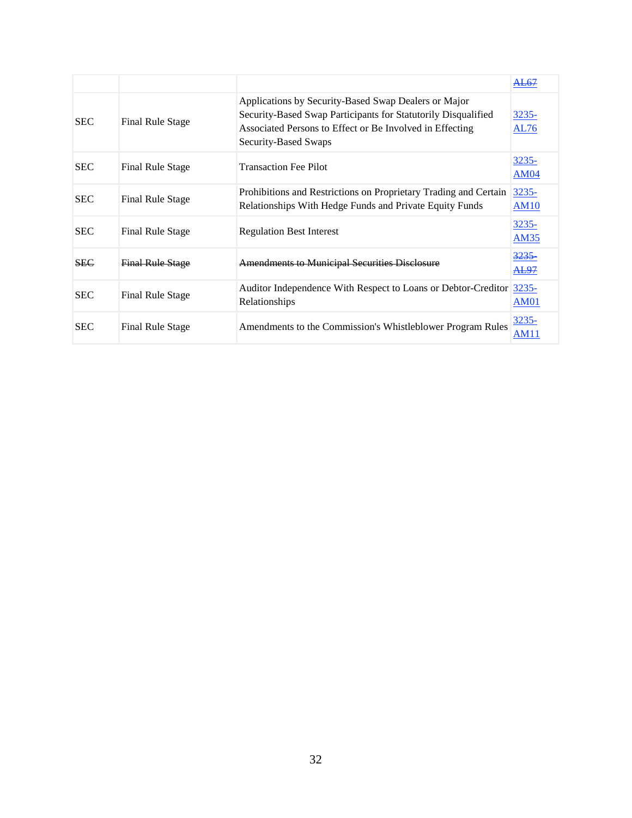|            |                         |                                                                                                                                                                                                           | AL67                        |
|------------|-------------------------|-----------------------------------------------------------------------------------------------------------------------------------------------------------------------------------------------------------|-----------------------------|
| <b>SEC</b> | Final Rule Stage        | Applications by Security-Based Swap Dealers or Major<br>Security-Based Swap Participants for Statutorily Disqualified<br>Associated Persons to Effect or Be Involved in Effecting<br>Security-Based Swaps | 3235-<br><b>AL76</b>        |
| <b>SEC</b> | Final Rule Stage        | <b>Transaction Fee Pilot</b>                                                                                                                                                                              | <u>3235-</u><br><b>AM04</b> |
| <b>SEC</b> | <b>Final Rule Stage</b> | Prohibitions and Restrictions on Proprietary Trading and Certain<br>Relationships With Hedge Funds and Private Equity Funds                                                                               | $3235 -$<br><b>AM10</b>     |
| <b>SEC</b> | Final Rule Stage        | <b>Regulation Best Interest</b>                                                                                                                                                                           | <u>3235-</u><br><b>AM35</b> |
| <b>SEC</b> | <b>Final Rule Stage</b> | <b>Amendments to Municipal Securities Disclosure</b>                                                                                                                                                      | <u>3235-</u><br>AL97        |
| <b>SEC</b> | Final Rule Stage        | Auditor Independence With Respect to Loans or Debtor-Creditor<br>Relationships                                                                                                                            | 3235-<br><b>AM01</b>        |
| <b>SEC</b> | Final Rule Stage        | Amendments to the Commission's Whistleblower Program Rules                                                                                                                                                | 3235-<br>AM1:               |